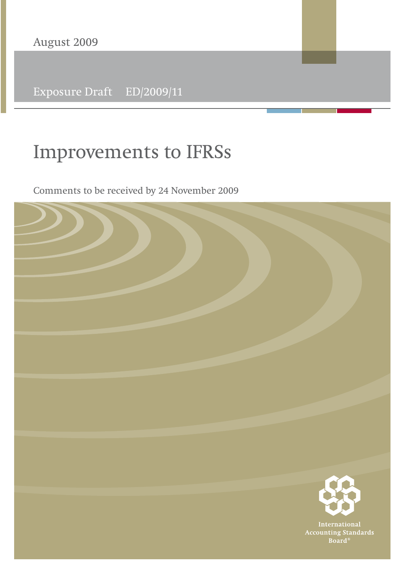Exposure Draft ED/2009/11

# **Improvements to IFRSs**

Comments to be received by 24 November 2009

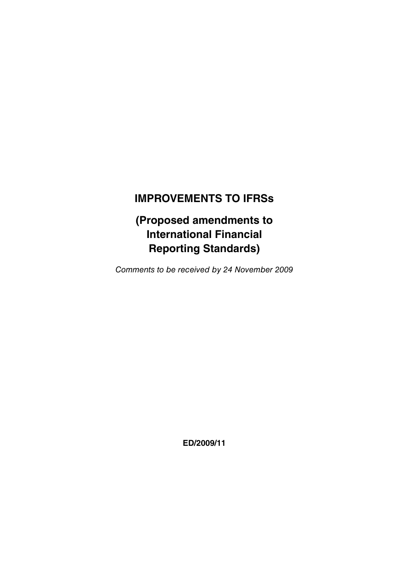# **IMPROVEMENTS TO IFRSs**

**(Proposed amendments to International Financial Reporting Standards)**

Comments to be received by 24 November 2009

**ED/2009/11**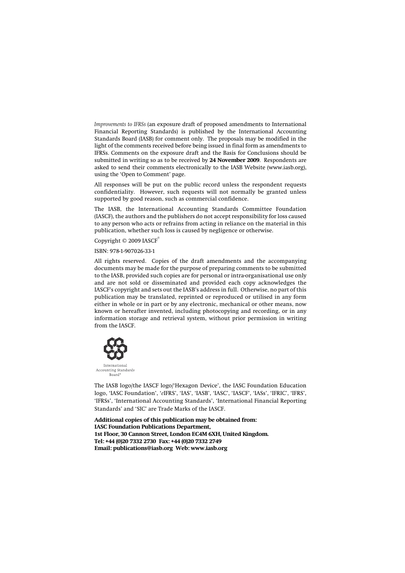*Improvements to IFRSs* (an exposure draft of proposed amendments to International Financial Reporting Standards) is published by the International Accounting Standards Board (IASB) for comment only. The proposals may be modified in the light of the comments received before being issued in final form as amendments to IFRSs. Comments on the exposure draft and the Basis for Conclusions should be submitted in writing so as to be received by **24 November 2009**. Respondents are asked to send their comments electronically to the IASB Website (www.iasb.org), using the 'Open to Comment' page.

All responses will be put on the public record unless the respondent requests confidentiality. However, such requests will not normally be granted unless supported by good reason, such as commercial confidence.

The IASB, the International Accounting Standards Committee Foundation (IASCF), the authors and the publishers do not accept responsibility for loss caused to any person who acts or refrains from acting in reliance on the material in this publication, whether such loss is caused by negligence or otherwise.

Copyright © 2009 IASCF®

ISBN: 978-1-907026-33-1

All rights reserved. Copies of the draft amendments and the accompanying documents may be made for the purpose of preparing comments to be submitted to the IASB, provided such copies are for personal or intra-organisational use only and are not sold or disseminated and provided each copy acknowledges the IASCF's copyright and sets out the IASB's address in full. Otherwise, no part of this publication may be translated, reprinted or reproduced or utilised in any form either in whole or in part or by any electronic, mechanical or other means, now known or hereafter invented, including photocopying and recording, or in any information storage and retrieval system, without prior permission in writing from the IASCF.



The IASB logo/the IASCF logo/'Hexagon Device', the IASC Foundation Education logo, 'IASC Foundation', '*e*IFRS', 'IAS', 'IASB', 'IASC', 'IASCF', 'IASs', 'IFRIC', 'IFRS', 'IFRSs', 'International Accounting Standards', 'International Financial Reporting Standards' and 'SIC' are Trade Marks of the IASCF.

**Additional copies of this publication may be obtained from: IASC Foundation Publications Department, 1st Floor, 30 Cannon Street, London EC4M 6XH, United Kingdom. Tel: +44 (0)20 7332 2730 Fax: +44 (0)20 7332 2749 Email: publications@iasb.org Web: www.iasb.org**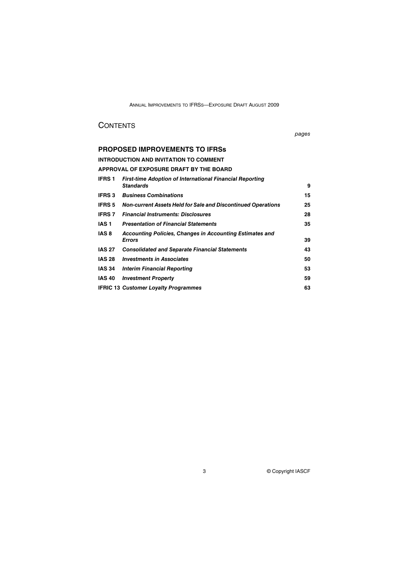# **CONTENTS**

pages

# **PROPOSED IMPROVEMENTS TO IFRSs**

**INTRODUCTION AND INVITATION TO COMMENT**

# **APPROVAL OF EXPOSURE DRAFT BY THE BOARD**

| <b>IFRS1</b>  | <b>First-time Adoption of International Financial Reporting</b>     |    |
|---------------|---------------------------------------------------------------------|----|
|               | <b>Standards</b>                                                    | 9  |
| <b>IFRS 3</b> | <b>Business Combinations</b>                                        | 15 |
| <b>IFRS 5</b> | <b>Non-current Assets Held for Sale and Discontinued Operations</b> | 25 |
| <b>IFRS 7</b> | <b>Financial Instruments: Disclosures</b>                           | 28 |
| IAS 1         | <b>Presentation of Financial Statements</b>                         | 35 |
| IAS 8         | Accounting Policies, Changes in Accounting Estimates and            |    |
|               | <b>Errors</b>                                                       | 39 |
| <b>IAS 27</b> | <b>Consolidated and Separate Financial Statements</b>               | 43 |
| <b>IAS 28</b> | <b>Investments in Associates</b>                                    | 50 |
| <b>IAS 34</b> | <b>Interim Financial Reporting</b>                                  | 53 |
| <b>IAS 40</b> | <b>Investment Property</b>                                          | 59 |
|               | <b>IFRIC 13 Customer Loyalty Programmes</b>                         | 63 |
|               |                                                                     |    |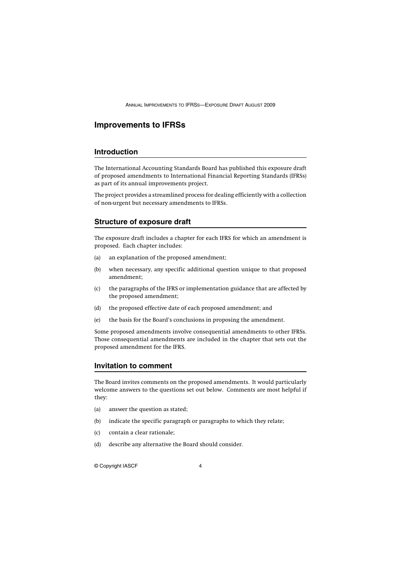### **Improvements to IFRSs**

### **Introduction**

The International Accounting Standards Board has published this exposure draft of proposed amendments to International Financial Reporting Standards (IFRSs) as part of its annual improvements project.

The project provides a streamlined process for dealing efficiently with a collection of non-urgent but necessary amendments to IFRSs.

### **Structure of exposure draft**

The exposure draft includes a chapter for each IFRS for which an amendment is proposed. Each chapter includes:

- (a) an explanation of the proposed amendment;
- (b) when necessary, any specific additional question unique to that proposed amendment;
- (c) the paragraphs of the IFRS or implementation guidance that are affected by the proposed amendment;
- (d) the proposed effective date of each proposed amendment; and
- (e) the basis for the Board's conclusions in proposing the amendment.

Some proposed amendments involve consequential amendments to other IFRSs. Those consequential amendments are included in the chapter that sets out the proposed amendment for the IFRS.

#### **Invitation to comment**

The Board invites comments on the proposed amendments. It would particularly welcome answers to the questions set out below. Comments are most helpful if they:

- (a) answer the question as stated;
- (b) indicate the specific paragraph or paragraphs to which they relate;
- (c) contain a clear rationale;
- (d) describe any alternative the Board should consider.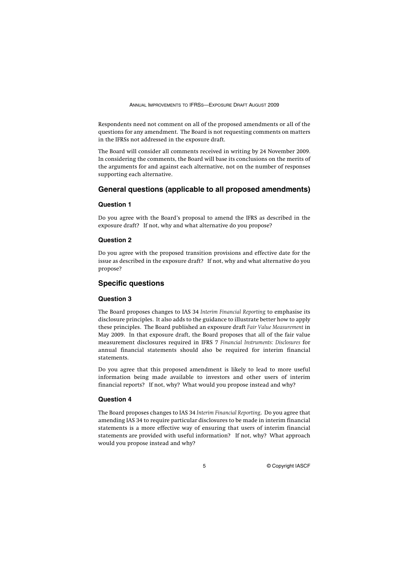Respondents need not comment on all of the proposed amendments or all of the questions for any amendment. The Board is not requesting comments on matters in the IFRSs not addressed in the exposure draft.

The Board will consider all comments received in writing by 24 November 2009. In considering the comments, the Board will base its conclusions on the merits of the arguments for and against each alternative, not on the number of responses supporting each alternative.

### **General questions (applicable to all proposed amendments)**

### **Question 1**

Do you agree with the Board's proposal to amend the IFRS as described in the exposure draft? If not, why and what alternative do you propose?

#### **Question 2**

Do you agree with the proposed transition provisions and effective date for the issue as described in the exposure draft? If not, why and what alternative do you propose?

### **Specific questions**

#### **Question 3**

The Board proposes changes to IAS 34 *Interim Financial Reporting* to emphasise its disclosure principles. It also adds to the guidance to illustrate better how to apply these principles. The Board published an exposure draft *Fair Value Measurement* in May 2009. In that exposure draft, the Board proposes that all of the fair value measurement disclosures required in IFRS 7 *Financial Instruments: Disclosures* for annual financial statements should also be required for interim financial statements.

Do you agree that this proposed amendment is likely to lead to more useful information being made available to investors and other users of interim financial reports? If not, why? What would you propose instead and why?

### **Question 4**

The Board proposes changes to IAS 34 *Interim Financial Reporting*. Do you agree that amending IAS 34 to require particular disclosures to be made in interim financial statements is a more effective way of ensuring that users of interim financial statements are provided with useful information? If not, why? What approach would you propose instead and why?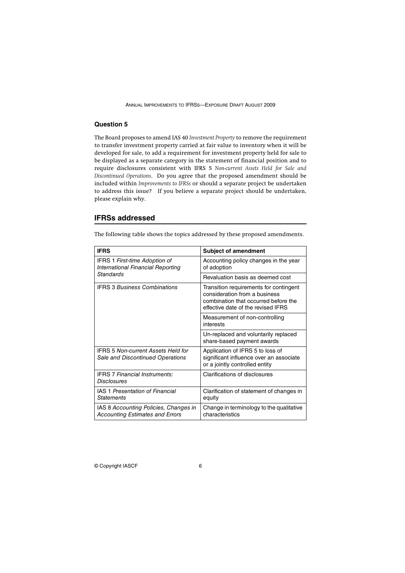### **Question 5**

The Board proposes to amend IAS 40 *Investment Property* to remove the requirement to transfer investment property carried at fair value to inventory when it will be developed for sale, to add a requirement for investment property held for sale to be displayed as a separate category in the statement of financial position and to require disclosures consistent with IFRS 5 *Non-current Assets Held for Sale and Discontinued Operations*. Do you agree that the proposed amendment should be included within *Improvements to IFRSs* or should a separate project be undertaken to address this issue? If you believe a separate project should be undertaken, please explain why.

#### **IFRSs addressed**

The following table shows the topics addressed by these proposed amendments.

| <b>IFRS</b>                                                                     | <b>Subject of amendment</b>                                                                                                                           |  |  |
|---------------------------------------------------------------------------------|-------------------------------------------------------------------------------------------------------------------------------------------------------|--|--|
| <b>IFRS 1 First-time Adoption of</b><br>International Financial Reporting       | Accounting policy changes in the year<br>of adoption                                                                                                  |  |  |
| <b>Standards</b>                                                                | Revaluation basis as deemed cost                                                                                                                      |  |  |
| <b>IFRS 3 Business Combinations</b>                                             | Transition requirements for contingent<br>consideration from a business<br>combination that occurred before the<br>effective date of the revised IFRS |  |  |
|                                                                                 | Measurement of non-controlling<br>interests                                                                                                           |  |  |
|                                                                                 | Un-replaced and voluntarily replaced<br>share-based payment awards                                                                                    |  |  |
| <b>IFRS 5 Non-current Assets Held for</b><br>Sale and Discontinued Operations   | Application of IFRS 5 to loss of<br>significant influence over an associate<br>or a jointly controlled entity                                         |  |  |
| <b>IFRS 7 Financial Instruments:</b><br><b>Disclosures</b>                      | Clarifications of disclosures                                                                                                                         |  |  |
| <b>IAS 1 Presentation of Financial</b><br><b>Statements</b>                     | Clarification of statement of changes in<br>equity                                                                                                    |  |  |
| IAS 8 Accounting Policies, Changes in<br><b>Accounting Estimates and Errors</b> | Change in terminology to the qualitative<br>characteristics                                                                                           |  |  |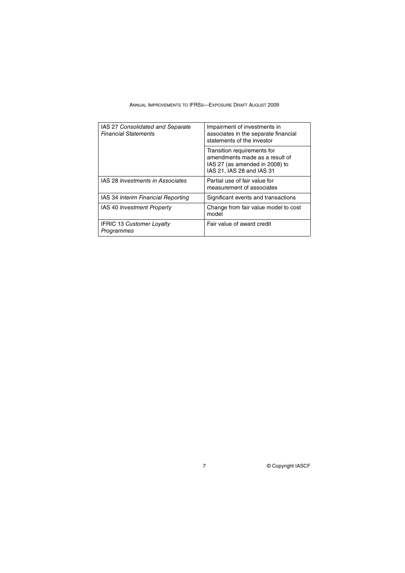| ANNUAL IMPROVEMENTS TO IFRSS—EXPOSURE DRAFT AUGUST 2009 |  |  |  |  |  |  |  |
|---------------------------------------------------------|--|--|--|--|--|--|--|
|---------------------------------------------------------|--|--|--|--|--|--|--|

| IAS 27 Consolidated and Separate<br><b>Financial Statements</b> | Impairment of investments in<br>associates in the separate financial<br>statements of the investor                           |  |  |
|-----------------------------------------------------------------|------------------------------------------------------------------------------------------------------------------------------|--|--|
|                                                                 | Transition requirements for<br>amendments made as a result of<br>IAS 27 (as amended in 2008) to<br>IAS 21, IAS 28 and IAS 31 |  |  |
| IAS 28 Investments in Associates                                | Partial use of fair value for<br>measurement of associates                                                                   |  |  |
| IAS 34 Interim Financial Reporting                              | Significant events and transactions                                                                                          |  |  |
| <b>IAS 40 Investment Property</b>                               | Change from fair value model to cost<br>model                                                                                |  |  |
| <b>IFRIC 13 Customer Lovalty</b><br>Programmes                  | Fair value of award credit                                                                                                   |  |  |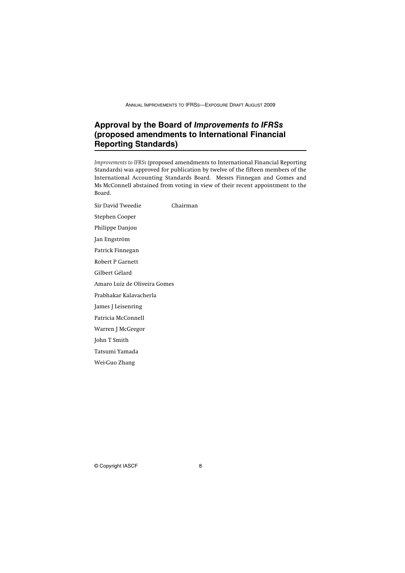# **Approval by the Board of** *Improvements to IFRSs* **(proposed amendments to International Financial Reporting Standards)**

*Improvements to IFRSs* (proposed amendments to International Financial Reporting Standards) was approved for publication by twelve of the fifteen members of the International Accounting Standards Board. Messrs Finnegan and Gomes and Ms McConnell abstained from voting in view of their recent appointment to the Board.

Sir David Tweedie Chairman Stephen Cooper Philippe Danjou Jan Engström Patrick Finnegan Robert P Garnett Gilbert Gélard Amaro Luiz de Oliveira Gomes Prabhakar Kalavacherla James J Leisenring Patricia McConnell Warren J McGregor John T Smith Tatsumi Yamada Wei-Guo Zhang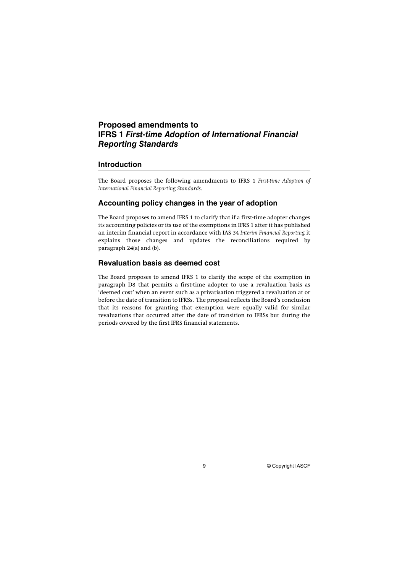# **Proposed amendments to IFRS 1** *First-time Adoption of International Financial Reporting Standards*

### **Introduction**

The Board proposes the following amendments to IFRS 1 *First-time Adoption of International Financial Reporting Standards*.

### **Accounting policy changes in the year of adoption**

The Board proposes to amend IFRS 1 to clarify that if a first-time adopter changes its accounting policies or its use of the exemptions in IFRS 1 after it has published an interim financial report in accordance with IAS 34 *Interim Financial Reporting* it explains those changes and updates the reconciliations required by paragraph 24(a) and (b).

### **Revaluation basis as deemed cost**

The Board proposes to amend IFRS 1 to clarify the scope of the exemption in paragraph D8 that permits a first-time adopter to use a revaluation basis as 'deemed cost' when an event such as a privatisation triggered a revaluation at or before the date of transition to IFRSs. The proposal reflects the Board's conclusion that its reasons for granting that exemption were equally valid for similar revaluations that occurred after the date of transition to IFRSs but during the periods covered by the first IFRS financial statements.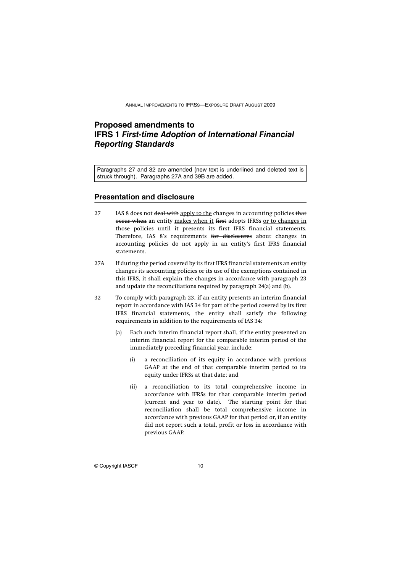# **Proposed amendments to IFRS 1** *First-time Adoption of International Financial Reporting Standards*

Paragraphs 27 and 32 are amended (new text is underlined and deleted text is struck through). Paragraphs 27A and 39B are added.

### **Presentation and disclosure**

- 27 IAS 8 does not deal with apply to the changes in accounting policies that occur when an entity makes when it first adopts IFRSs or to changes in those policies until it presents its first IFRS financial statements. Therefore, IAS 8's requirements for disclosures about changes in accounting policies do not apply in an entity's first IFRS financial statements.
- 27A If during the period covered by its first IFRS financial statements an entity changes its accounting policies or its use of the exemptions contained in this IFRS, it shall explain the changes in accordance with paragraph 23 and update the reconciliations required by paragraph 24(a) and (b).
- 32 To comply with paragraph 23, if an entity presents an interim financial report in accordance with IAS 34 for part of the period covered by its first IFRS financial statements, the entity shall satisfy the following requirements in addition to the requirements of IAS 34:
	- (a) Each such interim financial report shall, if the entity presented an interim financial report for the comparable interim period of the immediately preceding financial year, include:
		- (i) a reconciliation of its equity in accordance with previous GAAP at the end of that comparable interim period to its equity under IFRSs at that date; and
		- (ii) a reconciliation to its total comprehensive income in accordance with IFRSs for that comparable interim period (current and year to date). The starting point for that reconciliation shall be total comprehensive income in accordance with previous GAAP for that period or, if an entity did not report such a total, profit or loss in accordance with previous GAAP.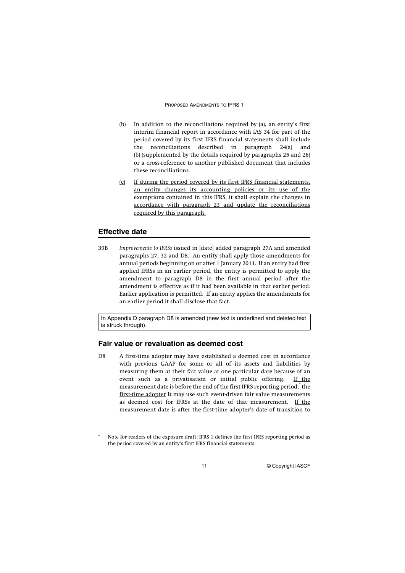#### PROPOSED AMENDMENTS TO IFRS 1

- (b) In addition to the reconciliations required by (a), an entity's first interim financial report in accordance with IAS 34 for part of the period covered by its first IFRS financial statements shall include the reconciliations described in paragraph 24(a) and (b) (supplemented by the details required by paragraphs 25 and 26) or a cross-reference to another published document that includes these reconciliations.
- (c) If during the period covered by its first IFRS financial statements, an entity changes its accounting policies or its use of the exemptions contained in this IFRS, it shall explain the changes in accordance with paragraph 23 and update the reconciliations required by this paragraph.

### **Effective date**

39B *Improvements to IFRSs* issued in [date] added paragraph 27A and amended paragraphs 27, 32 and D8. An entity shall apply those amendments for annual periods beginning on or after 1 January 2011. If an entity had first applied IFRSs in an earlier period, the entity is permitted to apply the amendment to paragraph D8 in the first annual period after the amendment is effective as if it had been available in that earlier period. Earlier application is permitted. If an entity applies the amendments for an earlier period it shall disclose that fact.

In Appendix D paragraph D8 is amended (new text is underlined and deleted text is struck through).

### **Fair value or revaluation as deemed cost**

D8 A first-time adopter may have established a deemed cost in accordance with previous GAAP for some or all of its assets and liabilities by measuring them at their fair value at one particular date because of an event such as a privatisation or initial public offering. If the <u>measurement date is before the end of the first IFRS reporting period,<sup>\*</sup> the</u> first-time adopter It may use such event-driven fair value measurements as deemed cost for IFRSs at the date of that measurement. If the measurement date is after the first-time adopter's date of transition to

Note for readers of the exposure draft: IFRS 1 defines the first IFRS reporting period as the period covered by an entity's first IFRS financial statements.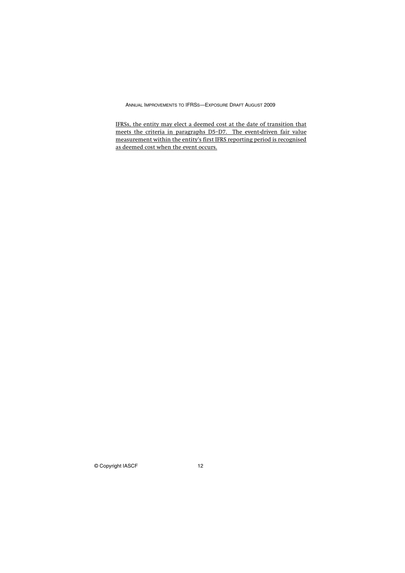IFRSs, the entity may elect a deemed cost at the date of transition that meets the criteria in paragraphs D5–D7. The event-driven fair value measurement within the entity's first IFRS reporting period is recognised as deemed cost when the event occurs.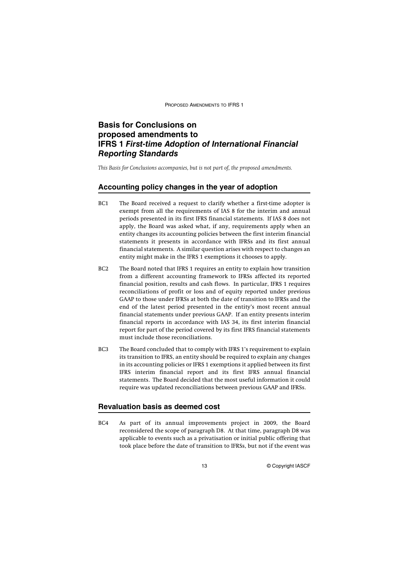PROPOSED AMENDMENTS TO IFRS 1

# **Basis for Conclusions on proposed amendments to IFRS 1** *First-time Adoption of International Financial Reporting Standards*

*This Basis for Conclusions accompanies, but is not part of, the proposed amendments.*

### **Accounting policy changes in the year of adoption**

- BC1 The Board received a request to clarify whether a first-time adopter is exempt from all the requirements of IAS 8 for the interim and annual periods presented in its first IFRS financial statements. If IAS 8 does not apply, the Board was asked what, if any, requirements apply when an entity changes its accounting policies between the first interim financial statements it presents in accordance with IFRSs and its first annual financial statements. A similar question arises with respect to changes an entity might make in the IFRS 1 exemptions it chooses to apply.
- BC2 The Board noted that IFRS 1 requires an entity to explain how transition from a different accounting framework to IFRSs affected its reported financial position, results and cash flows. In particular, IFRS 1 requires reconciliations of profit or loss and of equity reported under previous GAAP to those under IFRSs at both the date of transition to IFRSs and the end of the latest period presented in the entity's most recent annual financial statements under previous GAAP. If an entity presents interim financial reports in accordance with IAS 34, its first interim financial report for part of the period covered by its first IFRS financial statements must include those reconciliations.
- BC3 The Board concluded that to comply with IFRS 1's requirement to explain its transition to IFRS, an entity should be required to explain any changes in its accounting policies or IFRS 1 exemptions it applied between its first IFRS interim financial report and its first IFRS annual financial statements. The Board decided that the most useful information it could require was updated reconciliations between previous GAAP and IFRSs.

### **Revaluation basis as deemed cost**

BC4 As part of its annual improvements project in 2009, the Board reconsidered the scope of paragraph D8. At that time, paragraph D8 was applicable to events such as a privatisation or initial public offering that took place before the date of transition to IFRSs, but not if the event was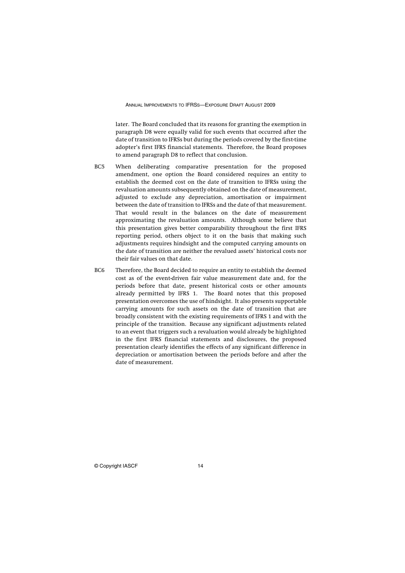later. The Board concluded that its reasons for granting the exemption in paragraph D8 were equally valid for such events that occurred after the date of transition to IFRSs but during the periods covered by the first-time adopter's first IFRS financial statements. Therefore, the Board proposes to amend paragraph D8 to reflect that conclusion.

- BC5 When deliberating comparative presentation for the proposed amendment, one option the Board considered requires an entity to establish the deemed cost on the date of transition to IFRSs using the revaluation amounts subsequently obtained on the date of measurement, adjusted to exclude any depreciation, amortisation or impairment between the date of transition to IFRSs and the date of that measurement. That would result in the balances on the date of measurement approximating the revaluation amounts. Although some believe that this presentation gives better comparability throughout the first IFRS reporting period, others object to it on the basis that making such adjustments requires hindsight and the computed carrying amounts on the date of transition are neither the revalued assets' historical costs nor their fair values on that date.
- BC6 Therefore, the Board decided to require an entity to establish the deemed cost as of the event-driven fair value measurement date and, for the periods before that date, present historical costs or other amounts already permitted by IFRS 1. The Board notes that this proposed presentation overcomes the use of hindsight. It also presents supportable carrying amounts for such assets on the date of transition that are broadly consistent with the existing requirements of IFRS 1 and with the principle of the transition. Because any significant adjustments related to an event that triggers such a revaluation would already be highlighted in the first IFRS financial statements and disclosures, the proposed presentation clearly identifies the effects of any significant difference in depreciation or amortisation between the periods before and after the date of measurement.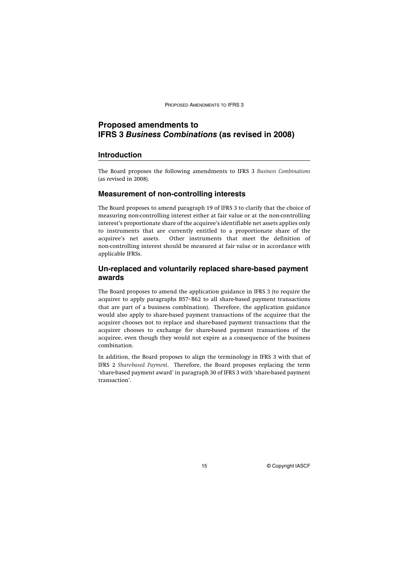PROPOSED AMENDMENTS TO IFRS 3

# **Proposed amendments to IFRS 3** *Business Combinations* **(as revised in 2008)**

#### **Introduction**

The Board proposes the following amendments to IFRS 3 *Business Combinations* (as revised in 2008).

#### **Measurement of non-controlling interests**

The Board proposes to amend paragraph 19 of IFRS 3 to clarify that the choice of measuring non-controlling interest either at fair value or at the non-controlling interest's proportionate share of the acquiree's identifiable net assets applies only to instruments that are currently entitled to a proportionate share of the acquiree's net assets. Other instruments that meet the definition of non-controlling interest should be measured at fair value or in accordance with applicable IFRSs.

### **Un-replaced and voluntarily replaced share-based payment awards**

The Board proposes to amend the application guidance in IFRS 3 (to require the acquirer to apply paragraphs B57–B62 to all share-based payment transactions that are part of a business combination). Therefore, the application guidance would also apply to share-based payment transactions of the acquiree that the acquirer chooses not to replace and share-based payment transactions that the acquirer chooses to exchange for share-based payment transactions of the acquiree, even though they would not expire as a consequence of the business combination.

In addition, the Board proposes to align the terminology in IFRS 3 with that of IFRS 2 *Share-based Payment*. Therefore, the Board proposes replacing the term 'share-based payment award' in paragraph 30 of IFRS 3 with 'share-based payment transaction'.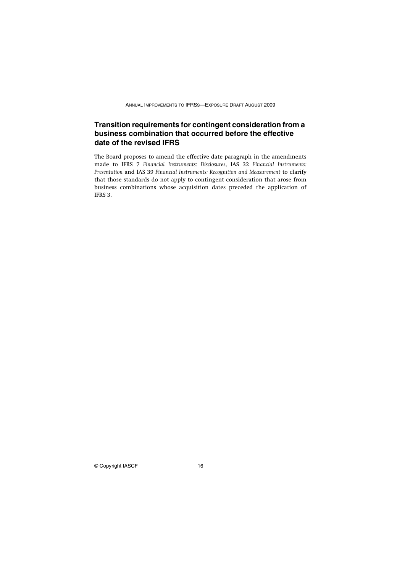# **Transition requirements for contingent consideration from a business combination that occurred before the effective date of the revised IFRS**

The Board proposes to amend the effective date paragraph in the amendments made to IFRS 7 *Financial Instruments: Disclosures*, IAS 32 *Financial Instruments: Presentation* and IAS 39 *Financial Instruments: Recognition and Measurement* to clarify that those standards do not apply to contingent consideration that arose from business combinations whose acquisition dates preceded the application of IFRS 3.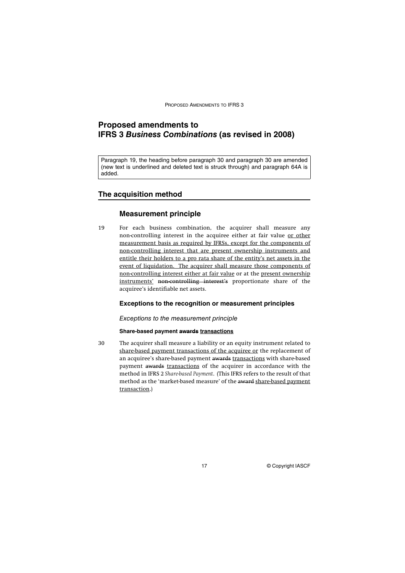PROPOSED AMENDMENTS TO IFRS 3

# **Proposed amendments to IFRS 3** *Business Combinations* **(as revised in 2008)**

Paragraph 19, the heading before paragraph 30 and paragraph 30 are amended (new text is underlined and deleted text is struck through) and paragraph 64A is added.

### **The acquisition method**

### **Measurement principle**

19 For each business combination, the acquirer shall measure any non-controlling interest in the acquiree either at fair value or other measurement basis as required by IFRSs, except for the components of non-controlling interest that are present ownership instruments and entitle their holders to a pro rata share of the entity's net assets in the event of liquidation. The acquirer shall measure those components of non-controlling interest either at fair value or at the present ownership instruments' non-controlling interest's proportionate share of the acquiree's identifiable net assets.

### **Exceptions to the recognition or measurement principles**

#### Exceptions to the measurement principle

### **Share-based payment awards transactions**

30 The acquirer shall measure a liability or an equity instrument related to share-based payment transactions of the acquiree or the replacement of an acquiree's share-based payment awards transactions with share-based payment awards transactions of the acquirer in accordance with the method in IFRS 2 *Share-based Payment*. (This IFRS refers to the result of that method as the 'market-based measure' of the award share-based payment transaction.)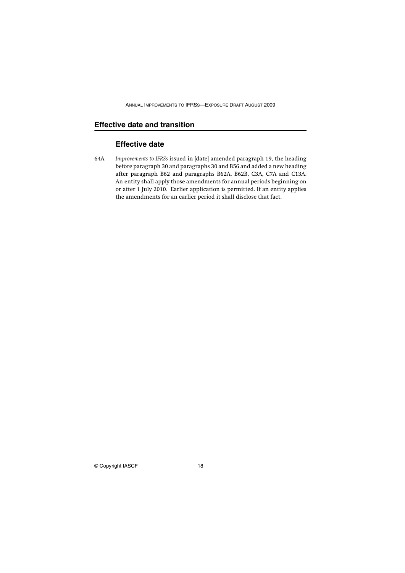# **Effective date and transition**

# **Effective date**

64A *Improvements to IFRSs* issued in [date] amended paragraph 19, the heading before paragraph 30 and paragraphs 30 and B56 and added a new heading after paragraph B62 and paragraphs B62A, B62B, C3A, C7A and C13A. An entity shall apply those amendments for annual periods beginning on or after 1 July 2010. Earlier application is permitted. If an entity applies the amendments for an earlier period it shall disclose that fact.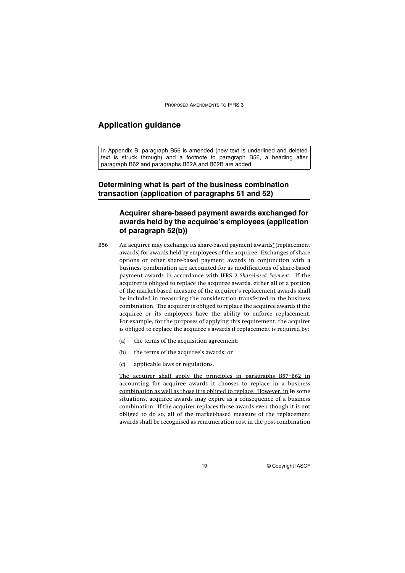PROPOSED AMENDMENTS TO IFRS 3

# **Application guidance**

In Appendix B, paragraph B56 is amended (new text is underlined and deleted text is struck through) and a footnote to paragraph B56, a heading after paragraph B62 and paragraphs B62A and B62B are added.

# **Determining what is part of the business combination transaction (application of paragraphs 51 and 52)**

# **Acquirer share-based payment awards exchanged for awards held by the acquiree's employees (application of paragraph 52(b))**

- B56 An acquirer may exchange its share-based payment awards\* (replacement awards) for awards held by employees of the acquiree. Exchanges of share options or other share-based payment awards in conjunction with a business combination are accounted for as modifications of share-based payment awards in accordance with IFRS 2 *Share-based Payment*. If the acquirer is obliged to replace the acquiree awards, either all or a portion of the market-based measure of the acquirer's replacement awards shall be included in measuring the consideration transferred in the business combination. The acquirer is obliged to replace the acquiree awards if the acquiree or its employees have the ability to enforce replacement. For example, for the purposes of applying this requirement, the acquirer is obliged to replace the acquiree's awards if replacement is required by:
	- (a) the terms of the acquisition agreement;
	- (b) the terms of the acquiree's awards; or
	- (c) applicable laws or regulations.

The acquirer shall apply the principles in paragraphs B57–B62 in accounting for acquiree awards it chooses to replace in a business combination as well as those it is obliged to replace. However, in In some situations, acquiree awards may expire as a consequence of a business combination. If the acquirer replaces those awards even though it is not obliged to do so, all of the market-based measure of the replacement awards shall be recognised as remuneration cost in the post-combination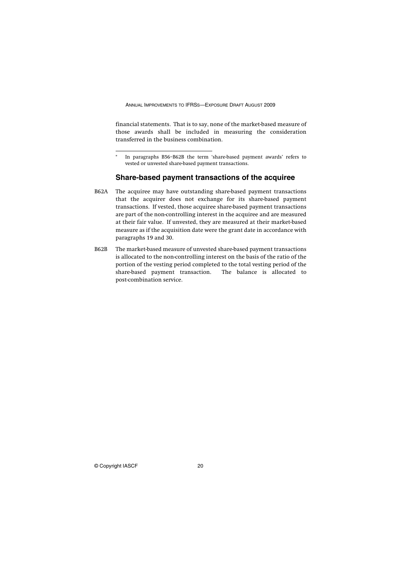financial statements. That is to say, none of the market-based measure of those awards shall be included in measuring the consideration transferred in the business combination.

#### **Share-based payment transactions of the acquiree**

- B62A The acquiree may have outstanding share-based payment transactions that the acquirer does not exchange for its share-based payment transactions. If vested, those acquiree share-based payment transactions are part of the non-controlling interest in the acquiree and are measured at their fair value. If unvested, they are measured at their market-based measure as if the acquisition date were the grant date in accordance with paragraphs 19 and 30.
- B62B The market-based measure of unvested share-based payment transactions is allocated to the non-controlling interest on the basis of the ratio of the portion of the vesting period completed to the total vesting period of the share-based payment transaction. The balance is allocated to post-combination service.

In paragraphs B56-B62B the term 'share-based payment awards' refers to vested or unvested share-based payment transactions.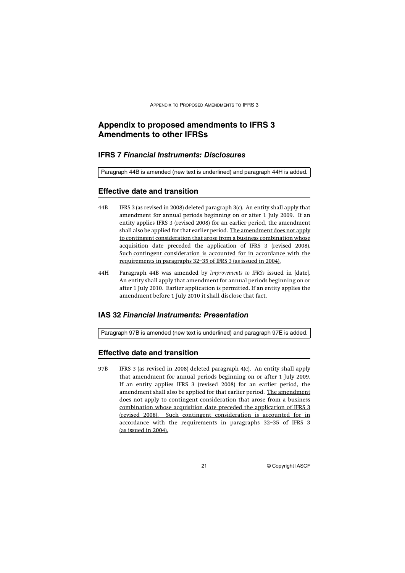# **Appendix to proposed amendments to IFRS 3 Amendments to other IFRSs**

### **IFRS 7** *Financial Instruments: Disclosures*

Paragraph 44B is amended (new text is underlined) and paragraph 44H is added.

### **Effective date and transition**

- 44B IFRS 3 (as revised in 2008) deleted paragraph 3(c). An entity shall apply that amendment for annual periods beginning on or after 1 July 2009. If an entity applies IFRS 3 (revised 2008) for an earlier period, the amendment shall also be applied for that earlier period. The amendment does not apply to contingent consideration that arose from a business combination whose acquisition date preceded the application of IFRS 3 (revised 2008). Such contingent consideration is accounted for in accordance with the requirements in paragraphs 32–35 of IFRS 3 (as issued in 2004).
- 44H Paragraph 44B was amended by *Improvements to IFRSs* issued in [date]. An entity shall apply that amendment for annual periods beginning on or after 1 July 2010. Earlier application is permitted. If an entity applies the amendment before 1 July 2010 it shall disclose that fact.

### **IAS 32** *Financial Instruments: Presentation*

Paragraph 97B is amended (new text is underlined) and paragraph 97E is added.

### **Effective date and transition**

97B IFRS 3 (as revised in 2008) deleted paragraph 4(c). An entity shall apply that amendment for annual periods beginning on or after 1 July 2009. If an entity applies IFRS 3 (revised 2008) for an earlier period, the amendment shall also be applied for that earlier period. The amendment does not apply to contingent consideration that arose from a business combination whose acquisition date preceded the application of IFRS 3 (revised 2008). Such contingent consideration is accounted for in accordance with the requirements in paragraphs 32–35 of IFRS 3 (as issued in 2004).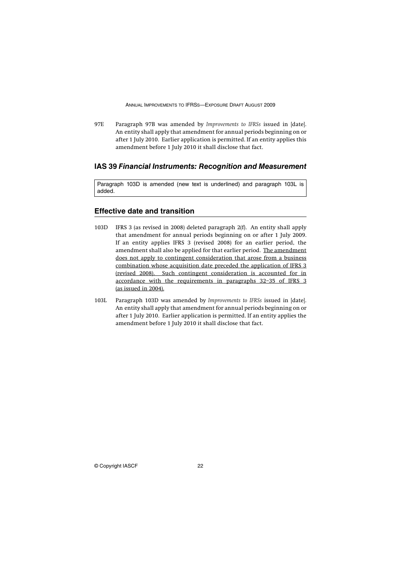97E Paragraph 97B was amended by *Improvements to IFRSs* issued in [date]. An entity shall apply that amendment for annual periods beginning on or after 1 July 2010. Earlier application is permitted. If an entity applies this amendment before 1 July 2010 it shall disclose that fact.

### **IAS 39** *Financial Instruments: Recognition and Measurement*

Paragraph 103D is amended (new text is underlined) and paragraph 103L is added.

### **Effective date and transition**

- 103D IFRS 3 (as revised in 2008) deleted paragraph 2(f). An entity shall apply that amendment for annual periods beginning on or after 1 July 2009. If an entity applies IFRS 3 (revised 2008) for an earlier period, the amendment shall also be applied for that earlier period. The amendment does not apply to contingent consideration that arose from a business combination whose acquisition date preceded the application of IFRS 3 (revised 2008). Such contingent consideration is accounted for in accordance with the requirements in paragraphs 32–35 of IFRS 3 (as issued in 2004).
- 103L Paragraph 103D was amended by *Improvements to IFRSs* issued in [date]. An entity shall apply that amendment for annual periods beginning on or after 1 July 2010. Earlier application is permitted. If an entity applies the amendment before 1 July 2010 it shall disclose that fact.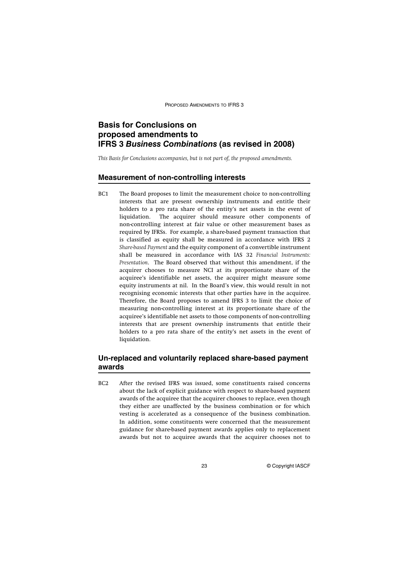PROPOSED AMENDMENTS TO IFRS 3

# **Basis for Conclusions on proposed amendments to IFRS 3** *Business Combinations* **(as revised in 2008)**

*This Basis for Conclusions accompanies, but is not part of, the proposed amendments.*

### **Measurement of non-controlling interests**

BC1 The Board proposes to limit the measurement choice to non-controlling interests that are present ownership instruments and entitle their holders to a pro rata share of the entity's net assets in the event of liquidation. The acquirer should measure other components of non-controlling interest at fair value or other measurement bases as required by IFRSs. For example, a share-based payment transaction that is classified as equity shall be measured in accordance with IFRS 2 *Share-based Payment* and the equity component of a convertible instrument shall be measured in accordance with IAS 32 *Financial Instruments: Presentation*. The Board observed that without this amendment, if the acquirer chooses to measure NCI at its proportionate share of the acquiree's identifiable net assets, the acquirer might measure some equity instruments at nil. In the Board's view, this would result in not recognising economic interests that other parties have in the acquiree. Therefore, the Board proposes to amend IFRS 3 to limit the choice of measuring non-controlling interest at its proportionate share of the acquiree's identifiable net assets to those components of non-controlling interests that are present ownership instruments that entitle their holders to a pro rata share of the entity's net assets in the event of liquidation.

# **Un-replaced and voluntarily replaced share-based payment awards**

BC2 After the revised IFRS was issued, some constituents raised concerns about the lack of explicit guidance with respect to share-based payment awards of the acquiree that the acquirer chooses to replace, even though they either are unaffected by the business combination or for which vesting is accelerated as a consequence of the business combination. In addition, some constituents were concerned that the measurement guidance for share-based payment awards applies only to replacement awards but not to acquiree awards that the acquirer chooses not to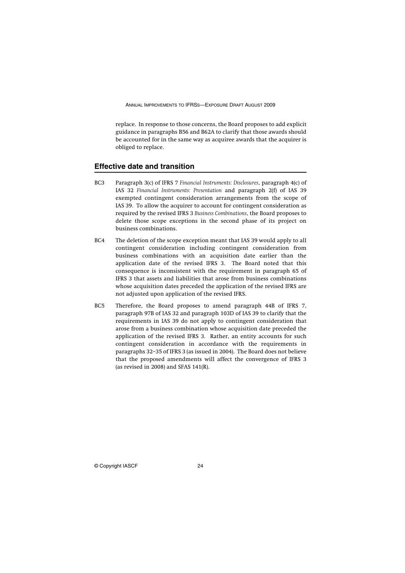replace. In response to those concerns, the Board proposes to add explicit guidance in paragraphs B56 and B62A to clarify that those awards should be accounted for in the same way as acquiree awards that the acquirer is obliged to replace.

#### **Effective date and transition**

- BC3 Paragraph 3(c) of IFRS 7 *Financial Instruments: Disclosures*, paragraph 4(c) of IAS 32 *Financial Instruments: Presentation* and paragraph 2(f) of IAS 39 exempted contingent consideration arrangements from the scope of IAS 39. To allow the acquirer to account for contingent consideration as required by the revised IFRS 3 *Business Combinations*, the Board proposes to delete those scope exceptions in the second phase of its project on business combinations.
- BC4 The deletion of the scope exception meant that IAS 39 would apply to all contingent consideration including contingent consideration from business combinations with an acquisition date earlier than the application date of the revised IFRS 3. The Board noted that this consequence is inconsistent with the requirement in paragraph 65 of IFRS 3 that assets and liabilities that arose from business combinations whose acquisition dates preceded the application of the revised IFRS are not adjusted upon application of the revised IFRS.
- BC5 Therefore, the Board proposes to amend paragraph 44B of IFRS 7, paragraph 97B of IAS 32 and paragraph 103D of IAS 39 to clarify that the requirements in IAS 39 do not apply to contingent consideration that arose from a business combination whose acquisition date preceded the application of the revised IFRS 3. Rather, an entity accounts for such contingent consideration in accordance with the requirements in paragraphs 32–35 of IFRS 3 (as issued in 2004). The Board does not believe that the proposed amendments will affect the convergence of IFRS 3 (as revised in 2008) and SFAS 141(R).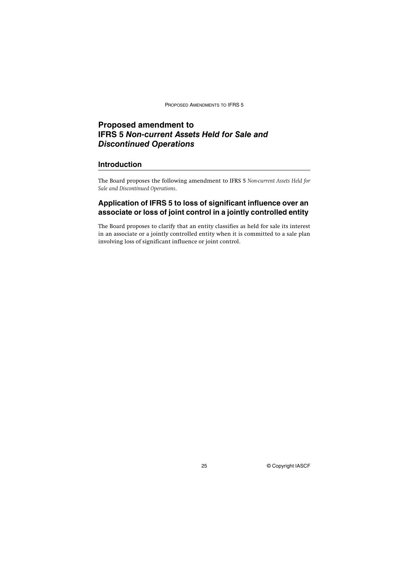PROPOSED AMENDMENTS TO IFRS 5

# **Proposed amendment to IFRS 5** *Non-current Assets Held for Sale and Discontinued Operations*

### **Introduction**

The Board proposes the following amendment to IFRS 5 *Non-current Assets Held for Sale and Discontinued Operations*.

# **Application of IFRS 5 to loss of significant influence over an associate or loss of joint control in a jointly controlled entity**

The Board proposes to clarify that an entity classifies as held for sale its interest in an associate or a jointly controlled entity when it is committed to a sale plan involving loss of significant influence or joint control.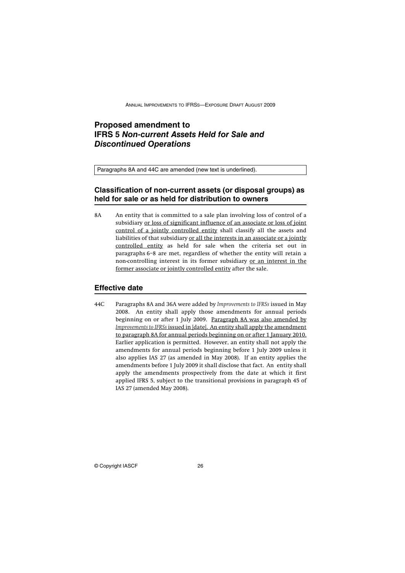# **Proposed amendment to IFRS 5** *Non-current Assets Held for Sale and Discontinued Operations*

Paragraphs 8A and 44C are amended (new text is underlined).

# **Classification of non-current assets (or disposal groups) as held for sale or as held for distribution to owners**

8A An entity that is committed to a sale plan involving loss of control of a subsidiary or loss of significant influence of an associate or loss of joint control of a jointly controlled entity shall classify all the assets and liabilities of that subsidiary or all the interests in an associate or a jointly controlled entity as held for sale when the criteria set out in paragraphs 6–8 are met, regardless of whether the entity will retain a non-controlling interest in its former subsidiary or an interest in the former associate or jointly controlled entity after the sale.

### **Effective date**

44C Paragraphs 8A and 36A were added by *Improvements to IFRSs* issued in May 2008. An entity shall apply those amendments for annual periods beginning on or after 1 July 2009. Paragraph 8A was also amended by *Improvements to IFRSs* issued in [date]. An entity shall apply the amendment to paragraph 8A for annual periods beginning on or after 1 January 2010. Earlier application is permitted. However, an entity shall not apply the amendments for annual periods beginning before 1 July 2009 unless it also applies IAS 27 (as amended in May 2008). If an entity applies the amendments before 1 July 2009 it shall disclose that fact. An entity shall apply the amendments prospectively from the date at which it first applied IFRS 5, subject to the transitional provisions in paragraph 45 of IAS 27 (amended May 2008).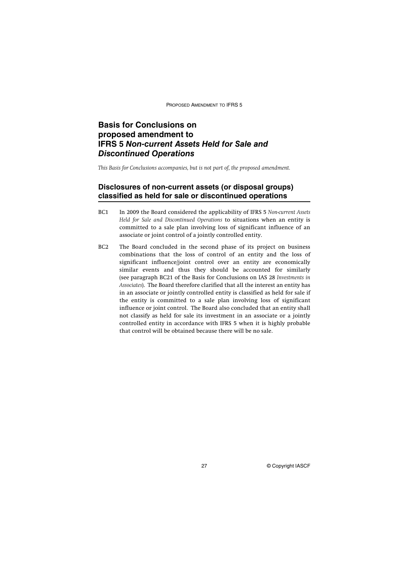PROPOSED AMENDMENT TO IFRS 5

# **Basis for Conclusions on proposed amendment to IFRS 5** *Non-current Assets Held for Sale and Discontinued Operations*

*This Basis for Conclusions accompanies, but is not part of, the proposed amendment.*

# **Disclosures of non-current assets (or disposal groups) classified as held for sale or discontinued operations**

- BC1 In 2009 the Board considered the applicability of IFRS 5 *Non-current Assets Held for Sale and Discontinued Operations* to situations when an entity is committed to a sale plan involving loss of significant influence of an associate or joint control of a jointly controlled entity.
- BC2 The Board concluded in the second phase of its project on business combinations that the loss of control of an entity and the loss of significant influence/joint control over an entity are economically similar events and thus they should be accounted for similarly (see paragraph BC21 of the Basis for Conclusions on IAS 28 *Investments in Associates*). The Board therefore clarified that all the interest an entity has in an associate or jointly controlled entity is classified as held for sale if the entity is committed to a sale plan involving loss of significant influence or joint control. The Board also concluded that an entity shall not classify as held for sale its investment in an associate or a jointly controlled entity in accordance with IFRS 5 when it is highly probable that control will be obtained because there will be no sale.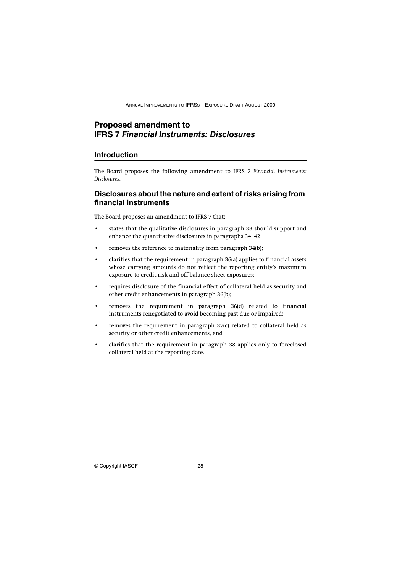# **Proposed amendment to IFRS 7** *Financial Instruments: Disclosures*

### **Introduction**

The Board proposes the following amendment to IFRS 7 *Financial Instruments: Disclosures*.

### **Disclosures about the nature and extent of risks arising from financial instruments**

The Board proposes an amendment to IFRS 7 that:

- states that the qualitative disclosures in paragraph 33 should support and enhance the quantitative disclosures in paragraphs 34–42;
- removes the reference to materiality from paragraph 34(b);
- clarifies that the requirement in paragraph 36(a) applies to financial assets whose carrying amounts do not reflect the reporting entity's maximum exposure to credit risk and off balance sheet exposures;
- requires disclosure of the financial effect of collateral held as security and other credit enhancements in paragraph 36(b);
- removes the requirement in paragraph 36(d) related to financial instruments renegotiated to avoid becoming past due or impaired;
- removes the requirement in paragraph 37(c) related to collateral held as security or other credit enhancements, and
- clarifies that the requirement in paragraph 38 applies only to foreclosed collateral held at the reporting date.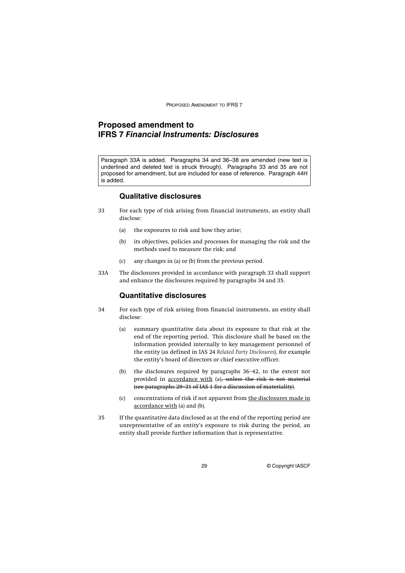PROPOSED AMENDMENT TO IFRS 7

# **Proposed amendment to IFRS 7** *Financial Instruments: Disclosures*

Paragraph 33A is added. Paragraphs 34 and 36–38 are amended (new text is underlined and deleted text is struck through). Paragraphs 33 and 35 are not proposed for amendment, but are included for ease of reference. Paragraph 44H is added.

### **Qualitative disclosures**

- 33 For each type of risk arising from financial instruments, an entity shall disclose:
	- (a) the exposures to risk and how they arise;
	- (b) its objectives, policies and processes for managing the risk and the methods used to measure the risk; and
	- (c) any changes in (a) or (b) from the previous period.
- 33A The disclosures provided in accordance with paragraph 33 shall support and enhance the disclosures required by paragraphs 34 and 35.

### **Quantitative disclosures**

- 34 For each type of risk arising from financial instruments, an entity shall disclose:
	- (a) summary quantitative data about its exposure to that risk at the end of the reporting period. This disclosure shall be based on the information provided internally to key management personnel of the entity (as defined in IAS 24 *Related Party Disclosures*), for example the entity's board of directors or chief executive officer.
	- (b) the disclosures required by paragraphs 36–42, to the extent not provided in accordance with (a), unless the risk is not material (see paragraphs 29–31 of IAS 1 for a discussion of materiality).
	- (c) concentrations of risk if not apparent from the disclosures made in accordance with (a) and (b).
- 35 If the quantitative data disclosed as at the end of the reporting period are unrepresentative of an entity's exposure to risk during the period, an entity shall provide further information that is representative.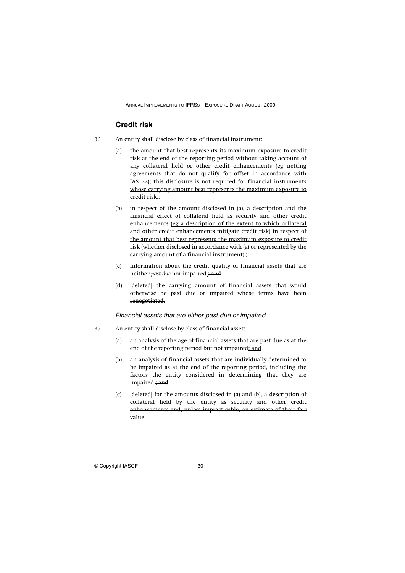### **Credit risk**

- 36 An entity shall disclose by class of financial instrument:
	- (a) the amount that best represents its maximum exposure to credit risk at the end of the reporting period without taking account of any collateral held or other credit enhancements (eg netting agreements that do not qualify for offset in accordance with IAS 32); this disclosure is not required for financial instruments whose carrying amount best represents the maximum exposure to credit risk.;
	- (b) in respect of the amount disclosed in  $\{a\}$ , a description and the financial effect of collateral held as security and other credit enhancements (eg a description of the extent to which collateral and other credit enhancements mitigate credit risk) in respect of the amount that best represents the maximum exposure to credit risk (whether disclosed in accordance with (a) or represented by the carrying amount of a financial instrument).;
	- (c) information about the credit quality of financial assets that are neither *past due* nor impaired.; and
	- (d) [deleted] the carrying amount of financial assets that would otherwise be past due or impaired whose terms have been renegotiated.

Financial assets that are either past due or impaired

- 37 An entity shall disclose by class of financial asset:
	- (a) an analysis of the age of financial assets that are past due as at the end of the reporting period but not impaired; and
	- (b) an analysis of financial assets that are individually determined to be impaired as at the end of the reporting period, including the factors the entity considered in determining that they are impaired.; and
	- (c) [deleted] for the amounts disclosed in (a) and (b), a description of collateral held by the entity as security and other credit enhancements and, unless impracticable, an estimate of their fair value.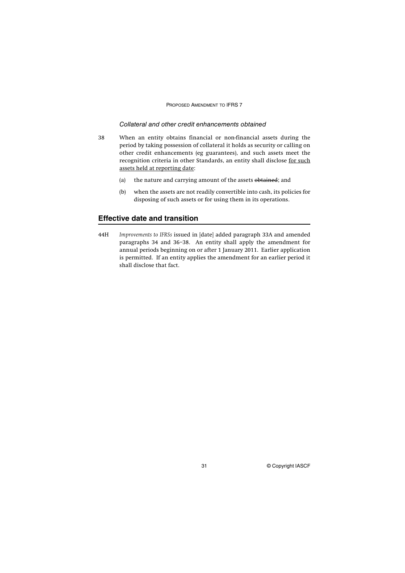#### PROPOSED AMENDMENT TO IFRS 7

### Collateral and other credit enhancements obtained

- 38 When an entity obtains financial or non-financial assets during the period by taking possession of collateral it holds as security or calling on other credit enhancements (eg guarantees), and such assets meet the recognition criteria in other Standards, an entity shall disclose for such assets held at reporting date:
	- (a) the nature and carrying amount of the assets obtained; and
	- (b) when the assets are not readily convertible into cash, its policies for disposing of such assets or for using them in its operations.

### **Effective date and transition**

44H *Improvements to IFRSs* issued in [date] added paragraph 33A and amended paragraphs 34 and 36–38. An entity shall apply the amendment for annual periods beginning on or after 1 January 2011. Earlier application is permitted. If an entity applies the amendment for an earlier period it shall disclose that fact.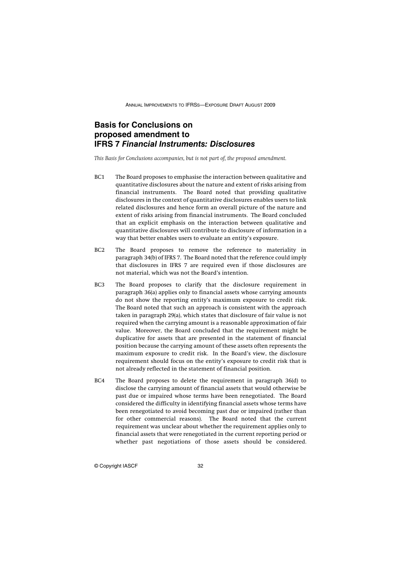# **Basis for Conclusions on proposed amendment to IFRS 7** *Financial Instruments: Disclosures*

*This Basis for Conclusions accompanies, but is not part of, the proposed amendment.*

- BC1 The Board proposes to emphasise the interaction between qualitative and quantitative disclosures about the nature and extent of risks arising from financial instruments. The Board noted that providing qualitative disclosures in the context of quantitative disclosures enables users to link related disclosures and hence form an overall picture of the nature and extent of risks arising from financial instruments. The Board concluded that an explicit emphasis on the interaction between qualitative and quantitative disclosures will contribute to disclosure of information in a way that better enables users to evaluate an entity's exposure.
- BC2 The Board proposes to remove the reference to materiality in paragraph 34(b) of IFRS 7. The Board noted that the reference could imply that disclosures in IFRS 7 are required even if those disclosures are not material, which was not the Board's intention.
- BC3 The Board proposes to clarify that the disclosure requirement in paragraph 36(a) applies only to financial assets whose carrying amounts do not show the reporting entity's maximum exposure to credit risk. The Board noted that such an approach is consistent with the approach taken in paragraph 29(a), which states that disclosure of fair value is not required when the carrying amount is a reasonable approximation of fair value. Moreover, the Board concluded that the requirement might be duplicative for assets that are presented in the statement of financial position because the carrying amount of these assets often represents the maximum exposure to credit risk. In the Board's view, the disclosure requirement should focus on the entity's exposure to credit risk that is not already reflected in the statement of financial position.
- BC4 The Board proposes to delete the requirement in paragraph 36(d) to disclose the carrying amount of financial assets that would otherwise be past due or impaired whose terms have been renegotiated. The Board considered the difficulty in identifying financial assets whose terms have been renegotiated to avoid becoming past due or impaired (rather than for other commercial reasons). The Board noted that the current requirement was unclear about whether the requirement applies only to financial assets that were renegotiated in the current reporting period or whether past negotiations of those assets should be considered.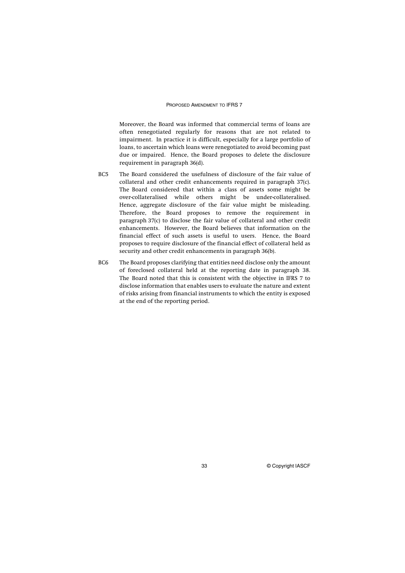#### PROPOSED AMENDMENT TO IFRS 7

Moreover, the Board was informed that commercial terms of loans are often renegotiated regularly for reasons that are not related to impairment. In practice it is difficult, especially for a large portfolio of loans, to ascertain which loans were renegotiated to avoid becoming past due or impaired. Hence, the Board proposes to delete the disclosure requirement in paragraph 36(d).

- BC5 The Board considered the usefulness of disclosure of the fair value of collateral and other credit enhancements required in paragraph 37(c). The Board considered that within a class of assets some might be over-collateralised while others might be under-collateralised. Hence, aggregate disclosure of the fair value might be misleading. Therefore, the Board proposes to remove the requirement in paragraph 37(c) to disclose the fair value of collateral and other credit enhancements. However, the Board believes that information on the financial effect of such assets is useful to users. Hence, the Board proposes to require disclosure of the financial effect of collateral held as security and other credit enhancements in paragraph 36(b).
- BC6 The Board proposes clarifying that entities need disclose only the amount of foreclosed collateral held at the reporting date in paragraph 38. The Board noted that this is consistent with the objective in IFRS 7 to disclose information that enables users to evaluate the nature and extent of risks arising from financial instruments to which the entity is exposed at the end of the reporting period.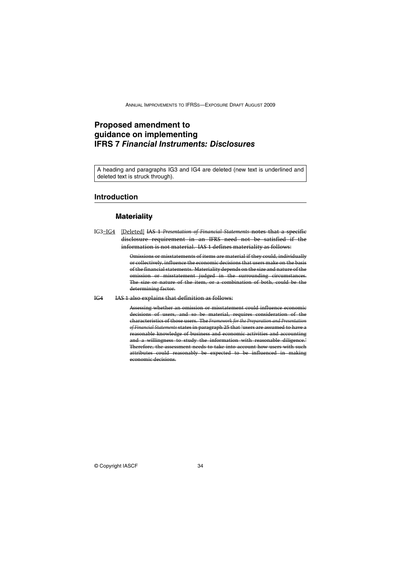# **Proposed amendment to guidance on implementing IFRS 7** *Financial Instruments: Disclosures*

A heading and paragraphs IG3 and IG4 are deleted (new text is underlined and deleted text is struck through).

### **Introduction**

### **Materiality**

IG3–IG4 [Deleted] IAS 1 *Presentation of Financial Statements* notes that a specific disclosure requirement in an IFRS need not be satisfied if the information is not material. IAS 1 defines materiality as follows:

> Omissions or misstatements of items are material if they could, individually or collectively, influence the economic decisions that users make on the basis of the financial statements. Materiality depends on the size and nature of the omission or misstatement judged in the surrounding circumstances. The size or nature of the item, or a combination of both, could be the determining factor.

#### IG4 IAS 1 also explains that definition as follows:

Assessing whether an omission or misstatement could influence economic decisions of users, and so be material, requires consideration of the characteristics of those users. The *Framework for the Preparation and Presentation of Financial Statements* states in paragraph 25 that 'users are assumed to have a reasonable knowledge of business and economic activities and accounting and a willingness to study the information with reasonable diligence. Therefore, the assessment needs to take into account how users with such attributes could reasonably be expected to be influenced in making economic decisions.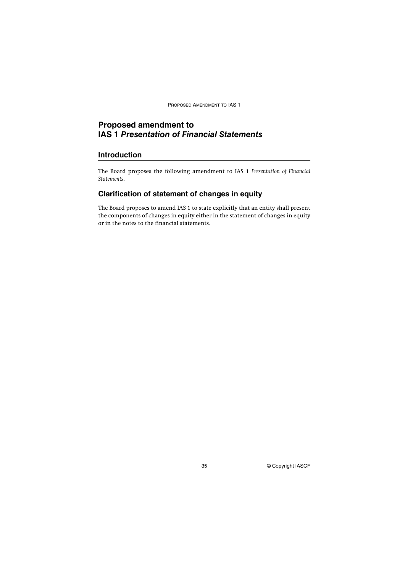PROPOSED AMENDMENT TO IAS 1

# **Proposed amendment to IAS 1** *Presentation of Financial Statements*

### **Introduction**

The Board proposes the following amendment to IAS 1 *Presentation of Financial Statements*.

# **Clarification of statement of changes in equity**

The Board proposes to amend IAS 1 to state explicitly that an entity shall present the components of changes in equity either in the statement of changes in equity or in the notes to the financial statements.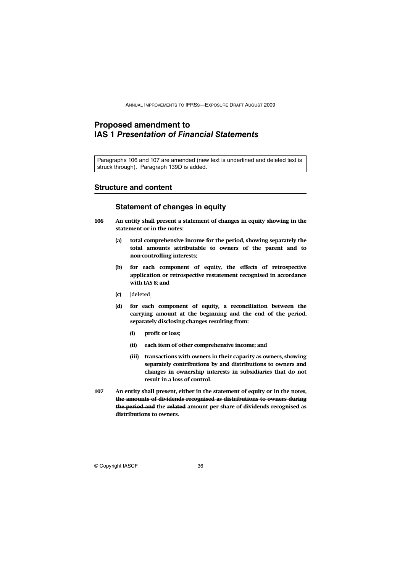# **Proposed amendment to IAS 1** *Presentation of Financial Statements*

Paragraphs 106 and 107 are amended (new text is underlined and deleted text is struck through). Paragraph 139D is added.

#### **Structure and content**

### **Statement of changes in equity**

- **106 An entity shall present a statement of changes in equity showing in the statement or in the notes:**
	- **(a) total comprehensive income for the period, showing separately the total amounts attributable to owners of the parent and to non-controlling interests;**
	- **(b) for each component of equity, the effects of retrospective application or retrospective restatement recognised in accordance with IAS 8; and**
	- **(c)** [deleted]
	- **(d) for each component of equity, a reconciliation between the carrying amount at the beginning and the end of the period, separately disclosing changes resulting from:**
		- **(i) profit or loss;**
		- **(ii) each item of other comprehensive income; and**
		- **(iii) transactions with owners in their capacity as owners, showing separately contributions by and distributions to owners and changes in ownership interests in subsidiaries that do not result in a loss of control.**
- **107 An entity shall present, either in the statement of equity or in the notes, the amounts of dividends recognised as distributions to owners during the period and the related amount per share of dividends recognised as distributions to owners.**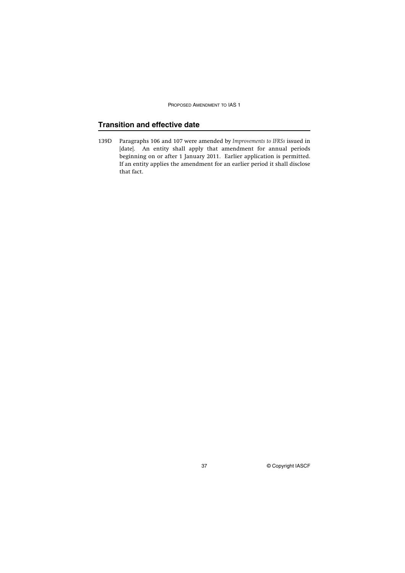PROPOSED AMENDMENT TO IAS 1

# **Transition and effective date**

139D Paragraphs 106 and 107 were amended by *Improvements to IFRSs* issued in [date]. An entity shall apply that amendment for annual periods beginning on or after 1 January 2011. Earlier application is permitted. If an entity applies the amendment for an earlier period it shall disclose that fact.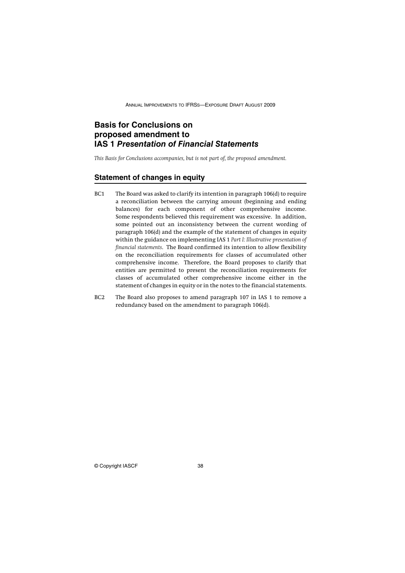# **Basis for Conclusions on proposed amendment to IAS 1** *Presentation of Financial Statements*

*This Basis for Conclusions accompanies, but is not part of, the proposed amendment.*

### **Statement of changes in equity**

- BC1 The Board was asked to clarify its intention in paragraph 106(d) to require a reconciliation between the carrying amount (beginning and ending balances) for each component of other comprehensive income. Some respondents believed this requirement was excessive. In addition, some pointed out an inconsistency between the current wording of paragraph 106(d) and the example of the statement of changes in equity within the guidance on implementing IAS 1 *Part I: Illustrative presentation of financial statements*. The Board confirmed its intention to allow flexibility on the reconciliation requirements for classes of accumulated other comprehensive income. Therefore, the Board proposes to clarify that entities are permitted to present the reconciliation requirements for classes of accumulated other comprehensive income either in the statement of changes in equity or in the notes to the financial statements.
- BC2 The Board also proposes to amend paragraph 107 in IAS 1 to remove a redundancy based on the amendment to paragraph 106(d).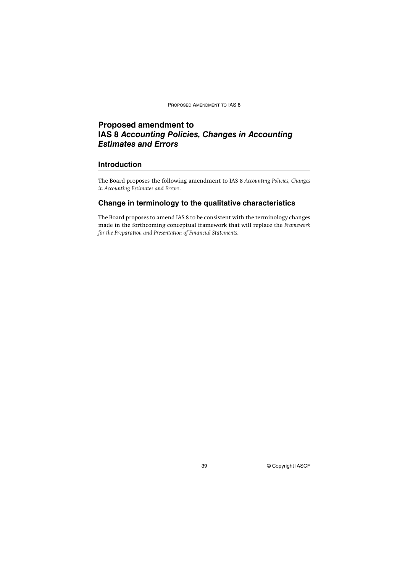PROPOSED AMENDMENT TO IAS 8

# **Proposed amendment to IAS 8** *Accounting Policies, Changes in Accounting Estimates and Errors*

### **Introduction**

The Board proposes the following amendment to IAS 8 *Accounting Policies, Changes in Accounting Estimates and Errors*.

### **Change in terminology to the qualitative characteristics**

The Board proposes to amend IAS 8 to be consistent with the terminology changes made in the forthcoming conceptual framework that will replace the *Framework for the Preparation and Presentation of Financial Statements*.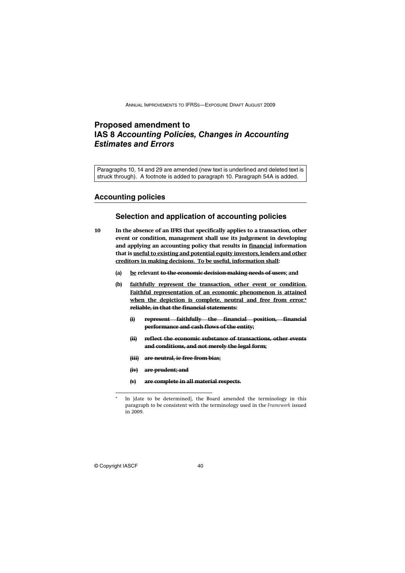# **Proposed amendment to IAS 8** *Accounting Policies, Changes in Accounting Estimates and Errors*

Paragraphs 10, 14 and 29 are amended (new text is underlined and deleted text is struck through). A footnote is added to paragraph 10. Paragraph 54A is added.

### **Accounting policies**

### **Selection and application of accounting policies**

- **10 In the absence of an IFRS that specifically applies to a transaction, other event or condition, management shall use its judgement in developing and applying an accounting policy that results in financial information that is useful to existing and potential equity investors, lenders and other creditors in making decisions. To be useful, information shall:**
	- **(a) be relevant to the economic decision-making needs of users; and**
	- **(b) faithfully represent the transaction, other event or condition. Faithful representation of an economic phenomenon is attained when the depiction is complete, neutral and free from error.\* reliable, in that the financial statements:**
		- **(i) represent faithfully the financial position, financial performance and cash flows of the entity;**
		- **(ii) reflect the economic substance of transactions, other events and conditions, and not merely the legal form;**
		- **(iii) are neutral, ie free from bias;**
		- **(iv) are prudent; and**
		- **(v) are complete in all material respects.**

In [date to be determined], the Board amended the terminology in this paragraph to be consistent with the terminology used in the *Framework* issued in 2009.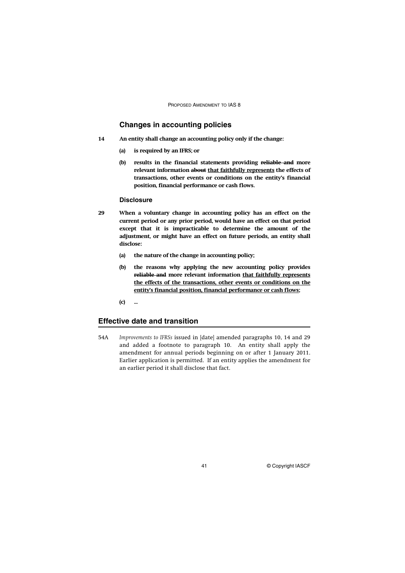PROPOSED AMENDMENT TO IAS 8

### **Changes in accounting policies**

- **14 An entity shall change an accounting policy only if the change:**
	- **(a) is required by an IFRS; or**
	- **(b) results in the financial statements providing reliable and more relevant information about that faithfully represents the effects of transactions, other events or conditions on the entity's financial position, financial performance or cash flows.**

#### **Disclosure**

- **29 When a voluntary change in accounting policy has an effect on the current period or any prior period, would have an effect on that period except that it is impracticable to determine the amount of the adjustment, or might have an effect on future periods, an entity shall disclose:**
	- **(a) the nature of the change in accounting policy;**
	- **(b) the reasons why applying the new accounting policy provides reliable and more relevant information that faithfully represents the effects of the transactions, other events or conditions on the entity's financial position, financial performance or cash flows;**

**(c) ...**

### **Effective date and transition**

54A *Improvements to IFRSs* issued in [date] amended paragraphs 10, 14 and 29 and added a footnote to paragraph 10. An entity shall apply the amendment for annual periods beginning on or after 1 January 2011. Earlier application is permitted. If an entity applies the amendment for an earlier period it shall disclose that fact.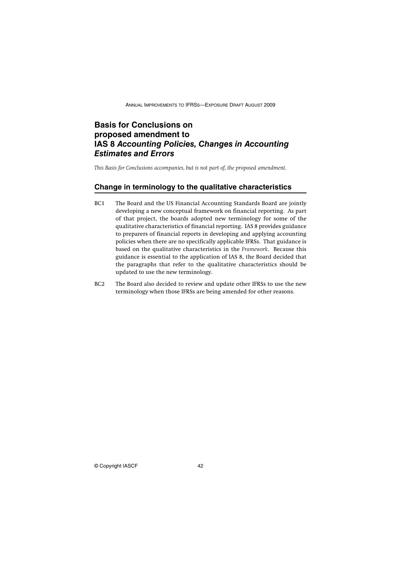# **Basis for Conclusions on proposed amendment to IAS 8** *Accounting Policies, Changes in Accounting Estimates and Errors*

*This Basis for Conclusions accompanies, but is not part of, the proposed amendment.*

### **Change in terminology to the qualitative characteristics**

- BC1 The Board and the US Financial Accounting Standards Board are jointly developing a new conceptual framework on financial reporting. As part of that project, the boards adopted new terminology for some of the qualitative characteristics of financial reporting. IAS 8 provides guidance to preparers of financial reports in developing and applying accounting policies when there are no specifically applicable IFRSs. That guidance is based on the qualitative characteristics in the *Framework*. Because this guidance is essential to the application of IAS 8, the Board decided that the paragraphs that refer to the qualitative characteristics should be updated to use the new terminology.
- BC2 The Board also decided to review and update other IFRSs to use the new terminology when those IFRSs are being amended for other reasons.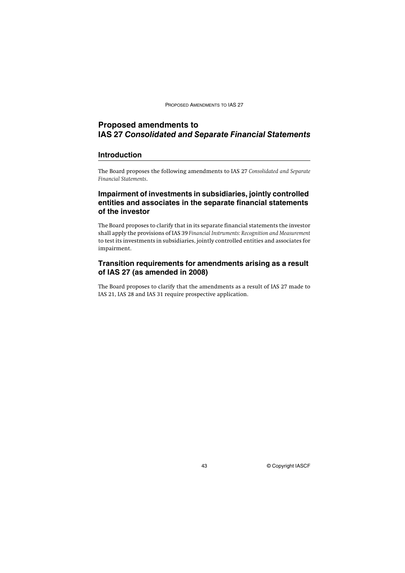PROPOSED AMENDMENTS TO IAS 27

# **Proposed amendments to IAS 27** *Consolidated and Separate Financial Statements*

### **Introduction**

The Board proposes the following amendments to IAS 27 *Consolidated and Separate Financial Statements*.

# **Impairment of investments in subsidiaries, jointly controlled entities and associates in the separate financial statements of the investor**

The Board proposes to clarify that in its separate financial statements the investor shall apply the provisions of IAS 39 *Financial Instruments: Recognition and Measurement* to test its investments in subsidiaries, jointly controlled entities and associates for impairment.

# **Transition requirements for amendments arising as a result of IAS 27 (as amended in 2008)**

The Board proposes to clarify that the amendments as a result of IAS 27 made to IAS 21, IAS 28 and IAS 31 require prospective application.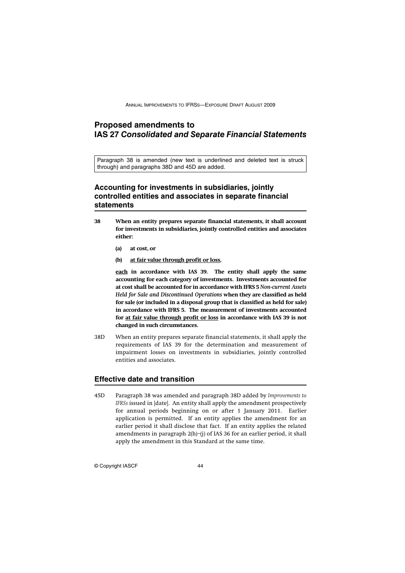# **Proposed amendments to IAS 27** *Consolidated and Separate Financial Statements*

Paragraph 38 is amended (new text is underlined and deleted text is struck through) and paragraphs 38D and 45D are added.

# **Accounting for investments in subsidiaries, jointly controlled entities and associates in separate financial statements**

- **38 When an entity prepares separate financial statements, it shall account for investments in subsidiaries, jointly controlled entities and associates either:**
	- **(a) at cost, or**
	- **(b) at fair value through profit or loss,**

**each in accordance with IAS 39. The entity shall apply the same accounting for each category of investments. Investments accounted for at cost shall be accounted for in accordance with IFRS 5** *Non-current Assets Held for Sale and Discontinued Operations* **when they are classified as held for sale (or included in a disposal group that is classified as held for sale) in accordance with IFRS 5. The measurement of investments accounted for at fair value through profit or loss in accordance with IAS 39 is not changed in such circumstances.**

38D When an entity prepares separate financial statements, it shall apply the requirements of IAS 39 for the determination and measurement of impairment losses on investments in subsidiaries, jointly controlled entities and associates.

# **Effective date and transition**

45D Paragraph 38 was amended and paragraph 38D added by *Improvements to IFRSs* issued in [date]. An entity shall apply the amendment prospectively for annual periods beginning on or after 1 January 2011. Earlier application is permitted. If an entity applies the amendment for an earlier period it shall disclose that fact. If an entity applies the related amendments in paragraph 2(h)–(j) of IAS 36 for an earlier period, it shall apply the amendment in this Standard at the same time.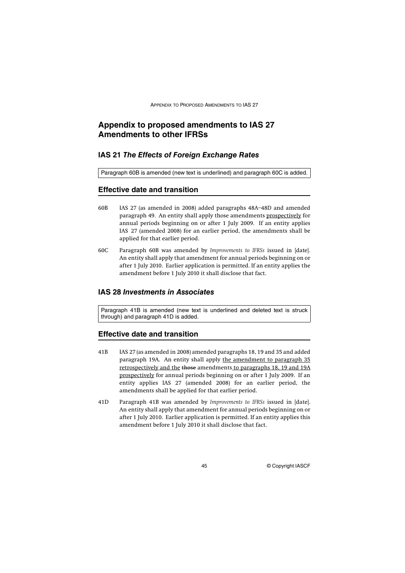# **Appendix to proposed amendments to IAS 27 Amendments to other IFRSs**

### **IAS 21** *The Effects of Foreign Exchange Rates*

Paragraph 60B is amended (new text is underlined) and paragraph 60C is added.

### **Effective date and transition**

- 60B IAS 27 (as amended in 2008) added paragraphs 48A–48D and amended paragraph 49. An entity shall apply those amendments prospectively for annual periods beginning on or after 1 July 2009. If an entity applies IAS 27 (amended 2008) for an earlier period, the amendments shall be applied for that earlier period.
- 60C Paragraph 60B was amended by *Improvements to IFRSs* issued in [date]. An entity shall apply that amendment for annual periods beginning on or after 1 July 2010. Earlier application is permitted. If an entity applies the amendment before 1 July 2010 it shall disclose that fact.

### **IAS 28** *Investments in Associates*

Paragraph 41B is amended (new text is underlined and deleted text is struck through) and paragraph 41D is added.

#### **Effective date and transition**

- 41B IAS 27 (as amended in 2008) amended paragraphs 18, 19 and 35 and added paragraph 19A. An entity shall apply the amendment to paragraph 35 retrospectively and the those amendments to paragraphs 18, 19 and 19A prospectively for annual periods beginning on or after 1 July 2009. If an entity applies IAS 27 (amended 2008) for an earlier period, the amendments shall be applied for that earlier period.
- 41D Paragraph 41B was amended by *Improvements to IFRSs* issued in [date]. An entity shall apply that amendment for annual periods beginning on or after 1 July 2010. Earlier application is permitted. If an entity applies this amendment before 1 July 2010 it shall disclose that fact.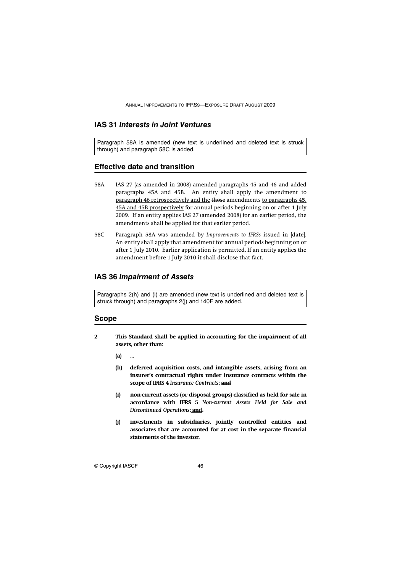# **IAS 31** *Interests in Joint Ventures*

Paragraph 58A is amended (new text is underlined and deleted text is struck through) and paragraph 58C is added.

### **Effective date and transition**

- 58A IAS 27 (as amended in 2008) amended paragraphs 45 and 46 and added paragraphs 45A and 45B. An entity shall apply the amendment to paragraph 46 retrospectively and the those amendments to paragraphs 45, 45A and 45B prospectively for annual periods beginning on or after 1 July 2009. If an entity applies IAS 27 (amended 2008) for an earlier period, the amendments shall be applied for that earlier period.
- 58C Paragraph 58A was amended by *Improvements to IFRSs* issued in [date]. An entity shall apply that amendment for annual periods beginning on or after 1 July 2010. Earlier application is permitted. If an entity applies the amendment before 1 July 2010 it shall disclose that fact.

### **IAS 36** *Impairment of Assets*

Paragraphs 2(h) and (i) are amended (new text is underlined and deleted text is struck through) and paragraphs 2(j) and 140F are added.

### **Scope**

**2 This Standard shall be applied in accounting for the impairment of all assets, other than:**

**(a) ...**

- **(h) deferred acquisition costs, and intangible assets, arising from an insurer's contractual rights under insurance contracts within the scope of IFRS 4** *Insurance Contracts***; and**
- **(i) non-current assets (or disposal groups) classified as held for sale in accordance with IFRS 5** *Non-current Assets Held for Sale and Discontinued Operations***; and.**
- **(j) investments in subsidiaries, jointly controlled entities and associates that are accounted for at cost in the separate financial statements of the investor.**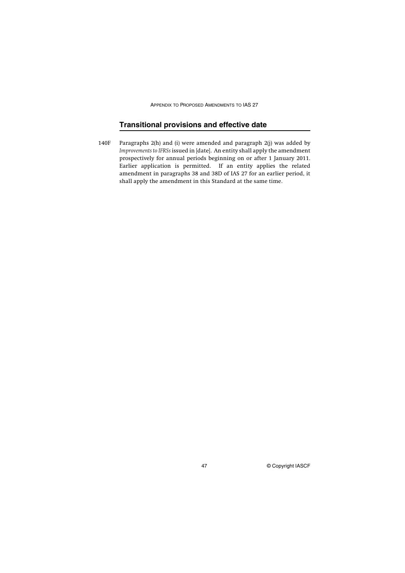APPENDIX TO PROPOSED AMENDMENTS TO IAS 27

# **Transitional provisions and effective date**

140F Paragraphs 2(h) and (i) were amended and paragraph 2(j) was added by *Improvements to IFRSs* issued in [date]. An entity shall apply the amendment prospectively for annual periods beginning on or after 1 January 2011. Earlier application is permitted. If an entity applies the related amendment in paragraphs 38 and 38D of IAS 27 for an earlier period, it shall apply the amendment in this Standard at the same time.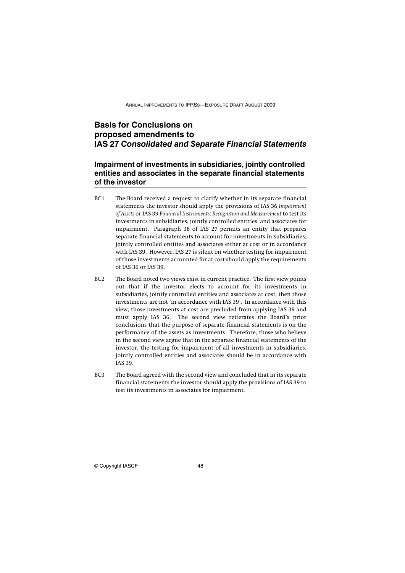# **Basis for Conclusions on proposed amendments to IAS 27** *Consolidated and Separate Financial Statements*

# **Impairment of investments in subsidiaries, jointly controlled entities and associates in the separate financial statements of the investor**

- BC1 The Board received a request to clarify whether in its separate financial statements the investor should apply the provisions of IAS 36 *Impairment of Assets* or IAS 39 *Financial Instruments: Recognition and Measurement* to test its investments in subsidiaries, jointly controlled entities, and associates for impairment. Paragraph 38 of IAS 27 permits an entity that prepares separate financial statements to account for investments in subsidiaries, jointly controlled entities and associates either at cost or in accordance with IAS 39. However, IAS 27 is silent on whether testing for impairment of those investments accounted for at cost should apply the requirements of IAS 36 or IAS 39.
- BC2 The Board noted two views exist in current practice. The first view points out that if the investor elects to account for its investments in subsidiaries, jointly controlled entities and associates at cost, then those investments are not 'in accordance with IAS 39'. In accordance with this view, those investments at cost are precluded from applying IAS 39 and must apply IAS 36. The second view reiterates the Board's prior conclusions that the purpose of separate financial statements is on the performance of the assets as investments. Therefore, those who believe in the second view argue that in the separate financial statements of the investor, the testing for impairment of all investments in subsidiaries, jointly controlled entities and associates should be in accordance with IAS 39.
- BC3 The Board agreed with the second view and concluded that in its separate financial statements the investor should apply the provisions of IAS 39 to test its investments in associates for impairment.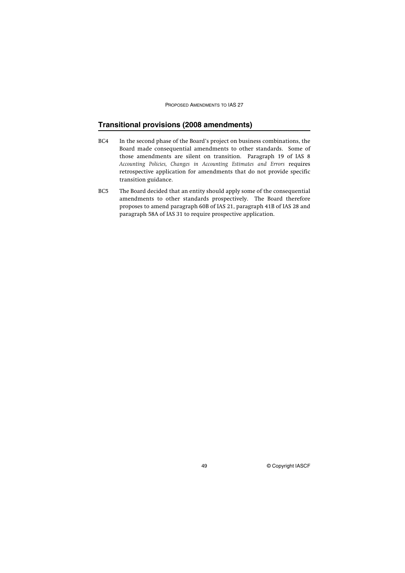PROPOSED AMENDMENTS TO IAS 27

# **Transitional provisions (2008 amendments)**

- BC4 In the second phase of the Board's project on business combinations, the Board made consequential amendments to other standards. Some of those amendments are silent on transition. Paragraph 19 of IAS 8 *Accounting Policies, Changes in Accounting Estimates and Errors* requires retrospective application for amendments that do not provide specific transition guidance.
- BC5 The Board decided that an entity should apply some of the consequential amendments to other standards prospectively. The Board therefore proposes to amend paragraph 60B of IAS 21, paragraph 41B of IAS 28 and paragraph 58A of IAS 31 to require prospective application.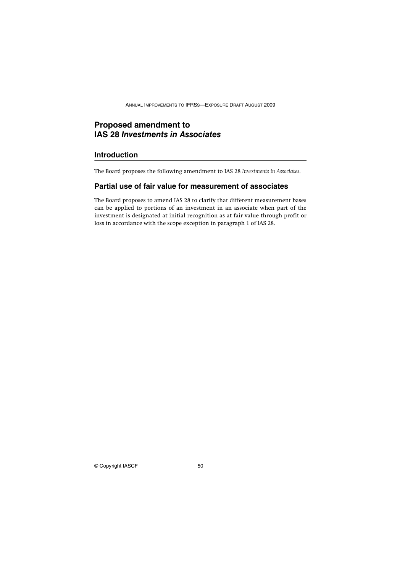# **Proposed amendment to IAS 28** *Investments in Associates*

### **Introduction**

The Board proposes the following amendment to IAS 28 *Investments in Associates*.

# **Partial use of fair value for measurement of associates**

The Board proposes to amend IAS 28 to clarify that different measurement bases can be applied to portions of an investment in an associate when part of the investment is designated at initial recognition as at fair value through profit or loss in accordance with the scope exception in paragraph 1 of IAS 28.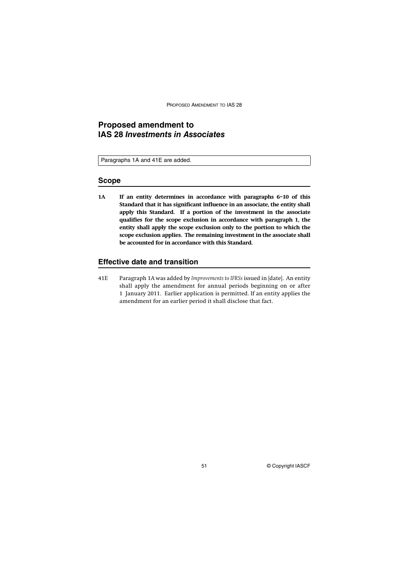PROPOSED AMENDMENT TO IAS 28

# **Proposed amendment to IAS 28** *Investments in Associates*

Paragraphs 1A and 41E are added.

#### **Scope**

**1A If an entity determines in accordance with paragraphs 6–10 of this Standard that it has significant influence in an associate, the entity shall apply this Standard. If a portion of the investment in the associate qualifies for the scope exclusion in accordance with paragraph 1, the entity shall apply the scope exclusion only to the portion to which the scope exclusion applies. The remaining investment in the associate shall be accounted for in accordance with this Standard.**

#### **Effective date and transition**

41E Paragraph 1A was added by *Improvements to IFRSs* issued in [date]. An entity shall apply the amendment for annual periods beginning on or after 1 January 2011. Earlier application is permitted. If an entity applies the amendment for an earlier period it shall disclose that fact.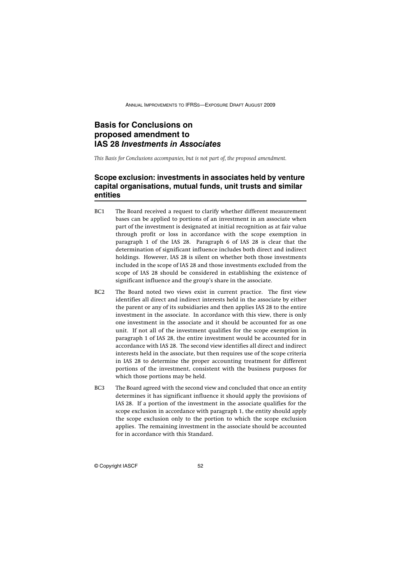# **Basis for Conclusions on proposed amendment to IAS 28** *Investments in Associates*

*This Basis for Conclusions accompanies, but is not part of, the proposed amendment.*

# **Scope exclusion: investments in associates held by venture capital organisations, mutual funds, unit trusts and similar entities**

- BC1 The Board received a request to clarify whether different measurement bases can be applied to portions of an investment in an associate when part of the investment is designated at initial recognition as at fair value through profit or loss in accordance with the scope exemption in paragraph 1 of the IAS 28. Paragraph 6 of IAS 28 is clear that the determination of significant influence includes both direct and indirect holdings. However, IAS 28 is silent on whether both those investments included in the scope of IAS 28 and those investments excluded from the scope of IAS 28 should be considered in establishing the existence of significant influence and the group's share in the associate.
- BC2 The Board noted two views exist in current practice. The first view identifies all direct and indirect interests held in the associate by either the parent or any of its subsidiaries and then applies IAS 28 to the entire investment in the associate. In accordance with this view, there is only one investment in the associate and it should be accounted for as one unit. If not all of the investment qualifies for the scope exemption in paragraph 1 of IAS 28, the entire investment would be accounted for in accordance with IAS 28. The second view identifies all direct and indirect interests held in the associate, but then requires use of the scope criteria in IAS 28 to determine the proper accounting treatment for different portions of the investment, consistent with the business purposes for which those portions may be held.
- BC3 The Board agreed with the second view and concluded that once an entity determines it has significant influence it should apply the provisions of IAS 28. If a portion of the investment in the associate qualifies for the scope exclusion in accordance with paragraph 1, the entity should apply the scope exclusion only to the portion to which the scope exclusion applies. The remaining investment in the associate should be accounted for in accordance with this Standard.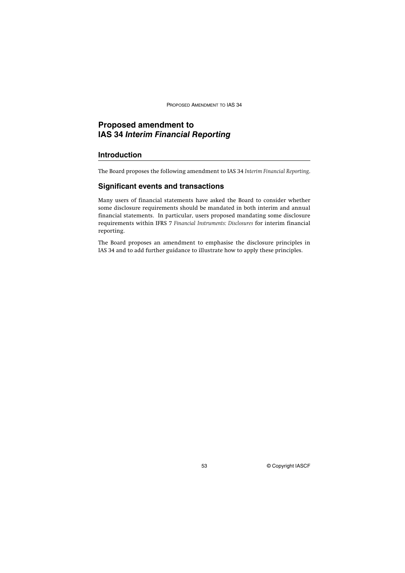PROPOSED AMENDMENT TO IAS 34

# **Proposed amendment to IAS 34** *Interim Financial Reporting*

### **Introduction**

The Board proposes the following amendment to IAS 34 *Interim Financial Reporting*.

### **Significant events and transactions**

Many users of financial statements have asked the Board to consider whether some disclosure requirements should be mandated in both interim and annual financial statements. In particular, users proposed mandating some disclosure requirements within IFRS 7 *Financial Instruments: Disclosures* for interim financial reporting.

The Board proposes an amendment to emphasise the disclosure principles in IAS 34 and to add further guidance to illustrate how to apply these principles.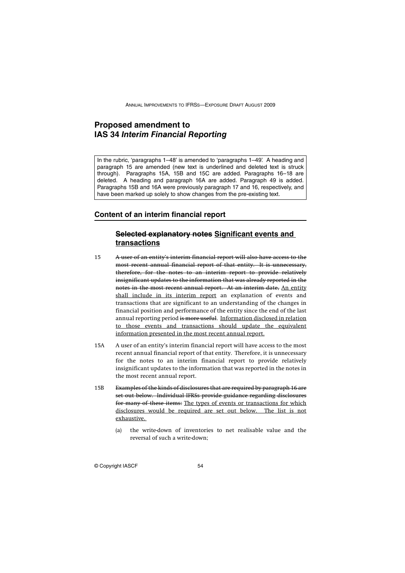# **Proposed amendment to IAS 34** *Interim Financial Reporting*

In the rubric, 'paragraphs 1–48' is amended to 'paragraphs 1–49'. A heading and paragraph 15 are amended (new text is underlined and deleted text is struck through). Paragraphs 15A, 15B and 15C are added. Paragraphs 16–18 are deleted. A heading and paragraph 16A are added. Paragraph 49 is added. Paragraphs 15B and 16A were previously paragraph 17 and 16, respectively, and have been marked up solely to show changes from the pre-existing text.

### **Content of an interim financial report**

# **Selected explanatory notes Significant events and transactions**

- 15 A user of an entity's interim financial report will also have access to the most recent annual financial report of that entity. It is unnecessary, therefore, for the notes to an interim report to provide relatively insignificant updates to the information that was already reported in the notes in the most recent annual report. At an interim date, An entity shall include in its interim report an explanation of events and transactions that are significant to an understanding of the changes in financial position and performance of the entity since the end of the last annual reporting period is more useful. Information disclosed in relation to those events and transactions should update the equivalent information presented in the most recent annual report.
- 15A A user of an entity's interim financial report will have access to the most recent annual financial report of that entity. Therefore, it is unnecessary for the notes to an interim financial report to provide relatively insignificant updates to the information that was reported in the notes in the most recent annual report.
- 15B Examples of the kinds of disclosures that are required by paragraph 16 are set out below. Individual IFRSs provide guidance regarding disclosures for many of these items: The types of events or transactions for which disclosures would be required are set out below. The list is not exhaustive.
	- (a) the write-down of inventories to net realisable value and the reversal of such a write-down;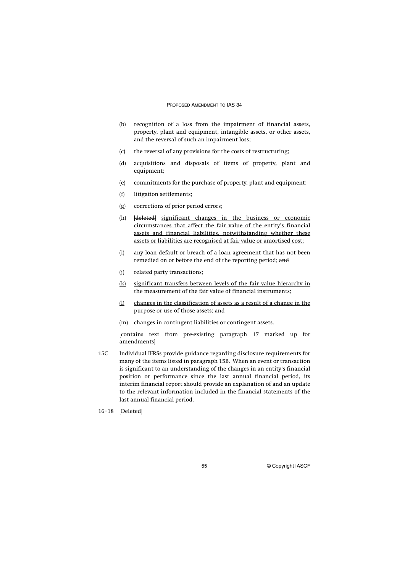#### PROPOSED AMENDMENT TO IAS 34

- (b) recognition of a loss from the impairment of financial assets, property, plant and equipment, intangible assets, or other assets, and the reversal of such an impairment loss;
- (c) the reversal of any provisions for the costs of restructuring;
- (d) acquisitions and disposals of items of property, plant and equipment;
- (e) commitments for the purchase of property, plant and equipment;
- (f) litigation settlements;
- (g) corrections of prior period errors;
- (h) [deleted] significant changes in the business or economic circumstances that affect the fair value of the entity's financial assets and financial liabilities, notwithstanding whether these assets or liabilities are recognised at fair value or amortised cost;
- (i) any loan default or breach of a loan agreement that has not been remedied on or before the end of the reporting period; and
- (j) related party transactions;
- (k) significant transfers between levels of the fair value hierarchy in the measurement of the fair value of financial instruments;
- (l) changes in the classification of assets as a result of a change in the purpose or use of those assets; and
- (m) changes in contingent liabilities or contingent assets.

[contains text from pre-existing paragraph 17 marked up for amendments]

15C Individual IFRSs provide guidance regarding disclosure requirements for many of the items listed in paragraph 15B. When an event or transaction is significant to an understanding of the changes in an entity's financial position or performance since the last annual financial period, its interim financial report should provide an explanation of and an update to the relevant information included in the financial statements of the last annual financial period.

16–18 [Deleted]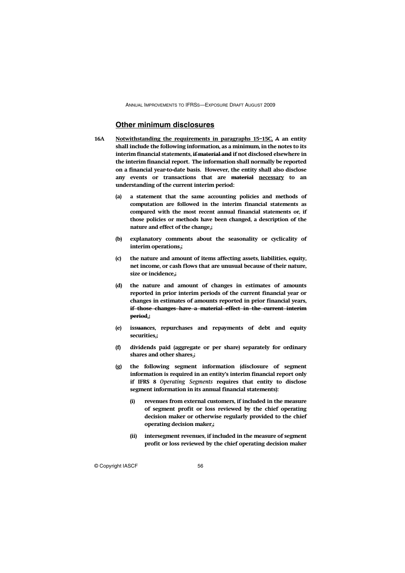### **Other minimum disclosures**

- **16A Notwithstanding the requirements in paragraphs 15–15C, A an entity shall include the following information, as a minimum, in the notes to its interim financial statements, if material and if not disclosed elsewhere in the interim financial report. The information shall normally be reported on a financial year-to-date basis. However, the entity shall also disclose any events or transactions that are material necessary to an understanding of the current interim period:** 
	- **(a) a statement that the same accounting policies and methods of computation are followed in the interim financial statements as compared with the most recent annual financial statements or, if those policies or methods have been changed, a description of the nature and effect of the change.;**
	- **(b) explanatory comments about the seasonality or cyclicality of interim operations.;**
	- **(c) the nature and amount of items affecting assets, liabilities, equity, net income, or cash flows that are unusual because of their nature, size or incidence.;**
	- **(d) the nature and amount of changes in estimates of amounts reported in prior interim periods of the current financial year or changes in estimates of amounts reported in prior financial years, if those changes have a material effect in the current interim period.;**
	- **(e) issuances, repurchases and repayments of debt and equity securities.;**
	- **(f) dividends paid (aggregate or per share) separately for ordinary shares and other shares.;**
	- **(g) the following segment information (disclosure of segment information is required in an entity's interim financial report only if IFRS 8** *Operating Segments* **requires that entity to disclose segment information in its annual financial statements):**
		- **(i) revenues from external customers, if included in the measure of segment profit or loss reviewed by the chief operating decision maker or otherwise regularly provided to the chief operating decision maker.;**
		- **(ii) intersegment revenues, if included in the measure of segment profit or loss reviewed by the chief operating decision maker**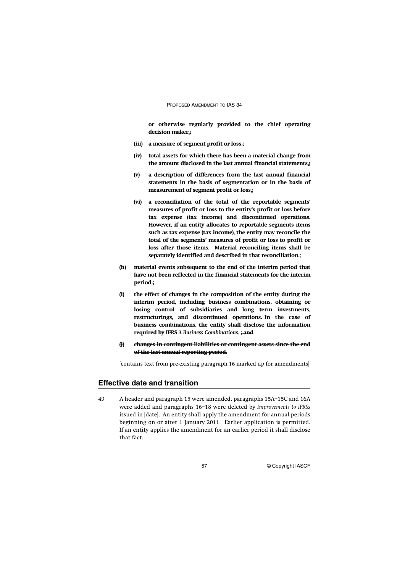#### PROPOSED AMENDMENT TO IAS 34

**or otherwise regularly provided to the chief operating decision maker.;**

- **(iii) a measure of segment profit or loss.;**
- **(iv) total assets for which there has been a material change from the amount disclosed in the last annual financial statements.;**
- **(v) a description of differences from the last annual financial statements in the basis of segmentation or in the basis of measurement of segment profit or loss.;**
- **(vi) a reconciliation of the total of the reportable segments' measures of profit or loss to the entity's profit or loss before tax expense (tax income) and discontinued operations. However, if an entity allocates to reportable segments items such as tax expense (tax income), the entity may reconcile the total of the segments' measures of profit or loss to profit or loss after those items. Material reconciling items shall be separately identified and described in that reconciliation.;**
- **(h) material events subsequent to the end of the interim period that have not been reflected in the financial statements for the interim period.;**
- **(i) the effect of changes in the composition of the entity during the interim period, including business combinations, obtaining or losing control of subsidiaries and long term investments, restructurings, and discontinued operations. In the case of business combinations, the entity shall disclose the information required by IFRS 3** *Business Combinations***. ; and**
- **(j) changes in contingent liabilities or contingent assets since the end of the last annual reporting period.**

[contains text from pre-existing paragraph 16 marked up for amendments]

# **Effective date and transition**

49 A header and paragraph 15 were amended, paragraphs 15A–15C and 16A were added and paragraphs 16–18 were deleted by *Improvements to IFRSs* issued in [date]. An entity shall apply the amendment for annual periods beginning on or after 1 January 2011. Earlier application is permitted. If an entity applies the amendment for an earlier period it shall disclose that fact.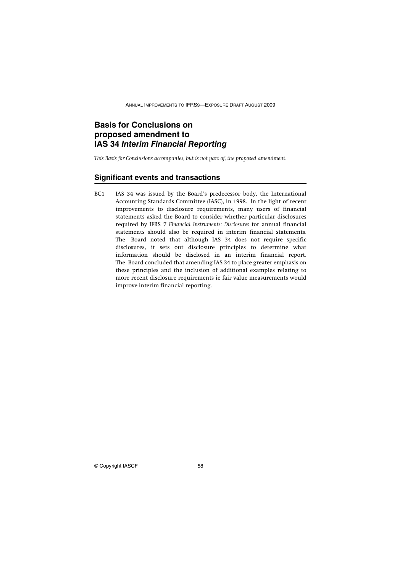# **Basis for Conclusions on proposed amendment to IAS 34** *Interim Financial Reporting*

*This Basis for Conclusions accompanies, but is not part of, the proposed amendment.*

#### **Significant events and transactions**

BC1 IAS 34 was issued by the Board's predecessor body, the International Accounting Standards Committee (IASC), in 1998. In the light of recent improvements to disclosure requirements, many users of financial statements asked the Board to consider whether particular disclosures required by IFRS 7 *Financial Instruments: Disclosures* for annual financial statements should also be required in interim financial statements. The Board noted that although IAS 34 does not require specific disclosures, it sets out disclosure principles to determine what information should be disclosed in an interim financial report. The Board concluded that amending IAS 34 to place greater emphasis on these principles and the inclusion of additional examples relating to more recent disclosure requirements ie fair value measurements would improve interim financial reporting.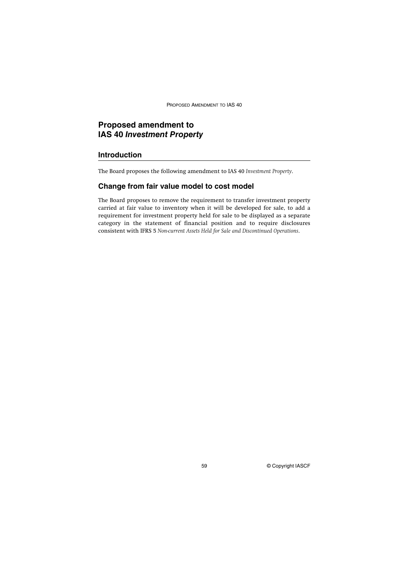PROPOSED AMENDMENT TO IAS 40

# **Proposed amendment to IAS 40** *Investment Property*

### **Introduction**

The Board proposes the following amendment to IAS 40 *Investment Property*.

### **Change from fair value model to cost model**

The Board proposes to remove the requirement to transfer investment property carried at fair value to inventory when it will be developed for sale, to add a requirement for investment property held for sale to be displayed as a separate category in the statement of financial position and to require disclosures consistent with IFRS 5 *Non-current Assets Held for Sale and Discontinued Operations*.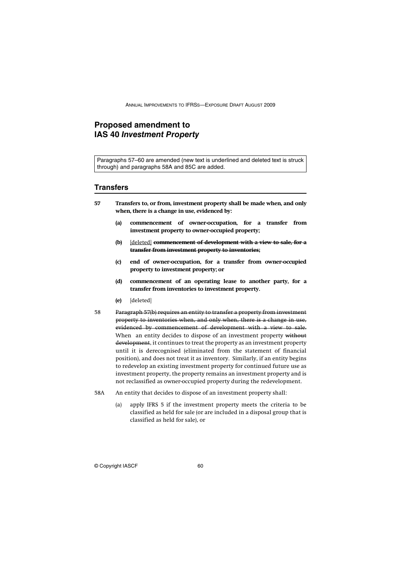# **Proposed amendment to IAS 40** *Investment Property*

Paragraphs 57–60 are amended (new text is underlined and deleted text is struck through) and paragraphs 58A and 85C are added.

#### **Transfers**

- **57 Transfers to, or from, investment property shall be made when, and only when, there is a change in use, evidenced by:**
	- **(a) commencement of owner-occupation, for a transfer from investment property to owner-occupied property;**
	- **(b)** [deleted] **commencement of development with a view to sale, for a transfer from investment property to inventories;**
	- **(c) end of owner-occupation, for a transfer from owner-occupied property to investment property; or**
	- **(d) commencement of an operating lease to another party, for a transfer from inventories to investment property.**
	- **(e)** [deleted]
- 58 Paragraph 57(b) requires an entity to transfer a property from investment property to inventories when, and only when, there is a change in use, evidenced by commencement of development with a view to sale. When an entity decides to dispose of an investment property without development, it continues to treat the property as an investment property until it is derecognised (eliminated from the statement of financial position), and does not treat it as inventory. Similarly, if an entity begins to redevelop an existing investment property for continued future use as investment property, the property remains an investment property and is not reclassified as owner-occupied property during the redevelopment.
- 58A An entity that decides to dispose of an investment property shall:
	- (a) apply IFRS 5 if the investment property meets the criteria to be classified as held for sale (or are included in a disposal group that is classified as held for sale), or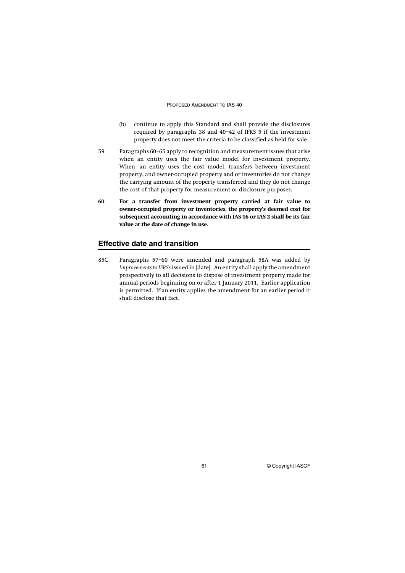#### PROPOSED AMENDMENT TO IAS 40

- (b) continue to apply this Standard and shall provide the disclosures required by paragraphs 38 and 40–42 of IFRS 5 if the investment property does not meet the criteria to be classified as held for sale.
- 59 Paragraphs 60–65 apply to recognition and measurement issues that arise when an entity uses the fair value model for investment property. When an entity uses the cost model, transfers between investment property, and owner-occupied property and or inventories do not change the carrying amount of the property transferred and they do not change the cost of that property for measurement or disclosure purposes.
- **60 For a transfer from investment property carried at fair value to owner-occupied property or inventories, the property's deemed cost for subsequent accounting in accordance with IAS 16 or IAS 2 shall be its fair value at the date of change in use.**

### **Effective date and transition**

85C Paragraphs 57–60 were amended and paragraph 58A was added by *Improvements to IFRSs* issued in [date]. An entity shall apply the amendment prospectively to all decisions to dispose of investment property made for annual periods beginning on or after 1 January 2011. Earlier application is permitted. If an entity applies the amendment for an earlier period it shall disclose that fact.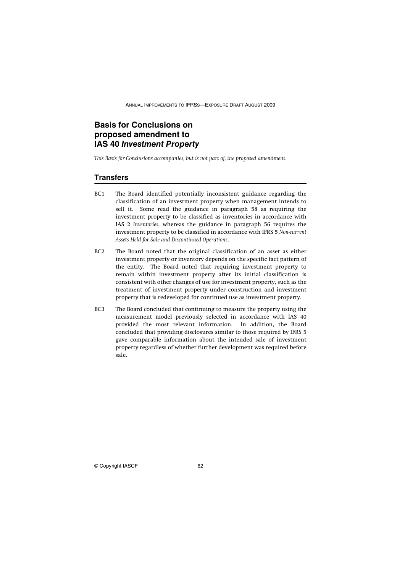# **Basis for Conclusions on proposed amendment to IAS 40** *Investment Property*

*This Basis for Conclusions accompanies, but is not part of, the proposed amendment.*

### **Transfers**

- BC1 The Board identified potentially inconsistent guidance regarding the classification of an investment property when management intends to sell it. Some read the guidance in paragraph 58 as requiring the investment property to be classified as inventories in accordance with IAS 2 *Inventories*, whereas the guidance in paragraph 56 requires the investment property to be classified in accordance with IFRS 5 *Non-current Assets Held for Sale and Discontinued Operations*.
- BC2 The Board noted that the original classification of an asset as either investment property or inventory depends on the specific fact pattern of the entity. The Board noted that requiring investment property to remain within investment property after its initial classification is consistent with other changes of use for investment property, such as the treatment of investment property under construction and investment property that is redeveloped for continued use as investment property.
- BC3 The Board concluded that continuing to measure the property using the measurement model previously selected in accordance with IAS 40 provided the most relevant information. In addition, the Board concluded that providing disclosures similar to those required by IFRS 5 gave comparable information about the intended sale of investment property regardless of whether further development was required before sale.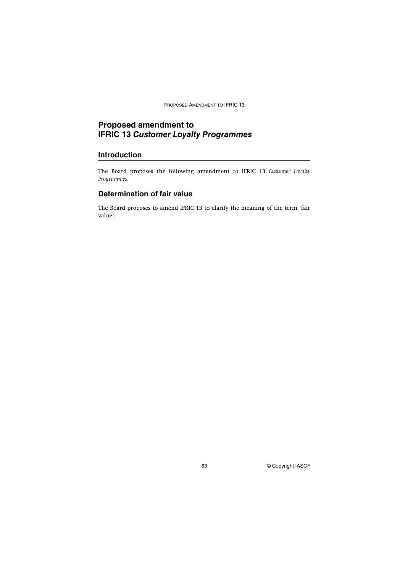PROPOSED AMENDMENT TO IFRIC 13

# **Proposed amendment to IFRIC 13** *Customer Loyalty Programmes*

### **Introduction**

The Board proposes the following amendment to IFRIC 13 *Customer Loyalty Programmes*.

# **Determination of fair value**

The Board proposes to amend IFRIC 13 to clarify the meaning of the term 'fair value'.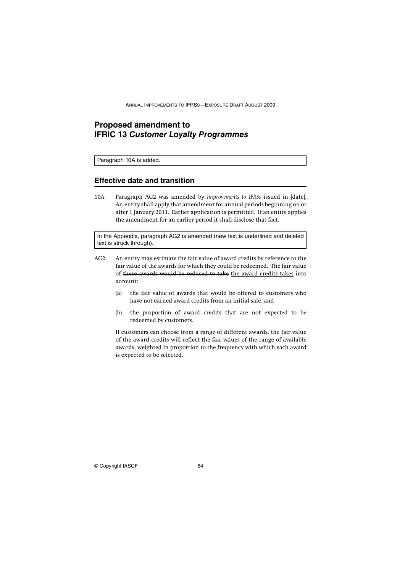# **Proposed amendment to IFRIC 13** *Customer Loyalty Programmes*

Paragraph 10A is added.

### **Effective date and transition**

10A Paragraph AG2 was amended by *Improvements to IFRSs* issued in [date]. An entity shall apply that amendment for annual periods beginning on or after 1 January 2011. Earlier application is permitted. If an entity applies the amendment for an earlier period it shall disclose that fact.

In the Appendix, paragraph AG2 is amended (new text is underlined and deleted text is struck through).

- AG2 An entity may estimate the fair value of award credits by reference to the fair value of the awards for which they could be redeemed. The fair value of these awards would be reduced to take the award credits takes into account:
	- (a) the fair value of awards that would be offered to customers who have not earned award credits from an initial sale; and
	- (b) the proportion of award credits that are not expected to be redeemed by customers.

If customers can choose from a range of different awards, the fair value of the award credits will reflect the fair values of the range of available awards, weighted in proportion to the frequency with which each award is expected to be selected.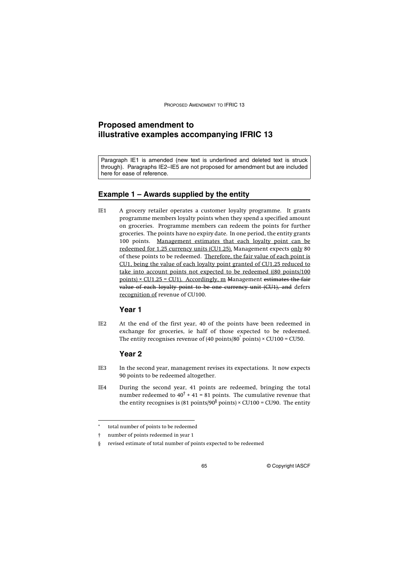PROPOSED AMENDMENT TO IFRIC 13

# **Proposed amendment to illustrative examples accompanying IFRIC 13**

Paragraph IE1 is amended (new text is underlined and deleted text is struck through). Paragraphs IE2–IE5 are not proposed for amendment but are included here for ease of reference.

### **Example 1 – Awards supplied by the entity**

IE1 A grocery retailer operates a customer loyalty programme. It grants programme members loyalty points when they spend a specified amount on groceries. Programme members can redeem the points for further groceries. The points have no expiry date. In one period, the entity grants 100 points. Management estimates that each loyalty point can be redeemed for 1.25 currency units (CU1.25). Management expects only 80 of these points to be redeemed. Therefore, the fair value of each point is CU1, being the value of each loyalty point granted of CU1.25 reduced to take into account points not expected to be redeemed ((80 points/100 points)  $\times$  CU1.25 = CU1). Accordingly, m Management estimates the fair value of each loyalty point to be one currency unit (CU1), and defers recognition of revenue of CU100.

# **Year 1**

IE2 At the end of the first year, 40 of the points have been redeemed in exchange for groceries, ie half of those expected to be redeemed. The entity recognises revenue of (40 points/80 $^{*}$  points) × CU100 = CU50.

### **Year 2**

- IE3 In the second year, management revises its expectations. It now expects 90 points to be redeemed altogether.
- IE4 During the second year, 41 points are redeemed, bringing the total number redeemed to 40 $^{\dagger}$  + 41 = 81 points. The cumulative revenue that the entity recognises is (81 points/90 $\stackrel{ \text{6} }{ }$  points) × CU100 = CU90. The entity

total number of points to be redeemed

<sup>†</sup> number of points redeemed in year 1

<sup>§</sup> revised estimate of total number of points expected to be redeemed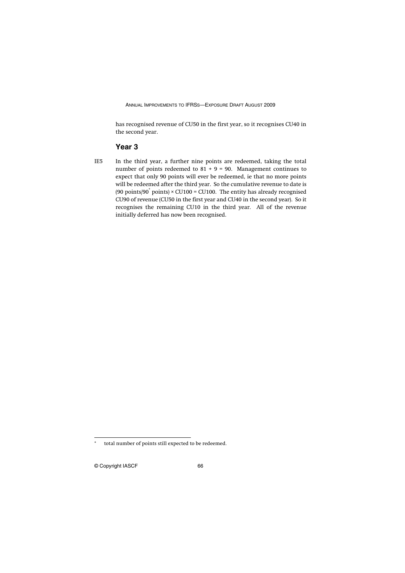has recognised revenue of CU50 in the first year, so it recognises CU40 in the second year.

### **Year 3**

IE5 In the third year, a further nine points are redeemed, taking the total number of points redeemed to  $81 + 9 = 90$ . Management continues to expect that only 90 points will ever be redeemed, ie that no more points will be redeemed after the third year. So the cumulative revenue to date is (90 points/90 $^{*}$  points) × CU100 = CU100. The entity has already recognised CU90 of revenue (CU50 in the first year and CU40 in the second year). So it recognises the remaining CU10 in the third year. All of the revenue initially deferred has now been recognised.

total number of points still expected to be redeemed.